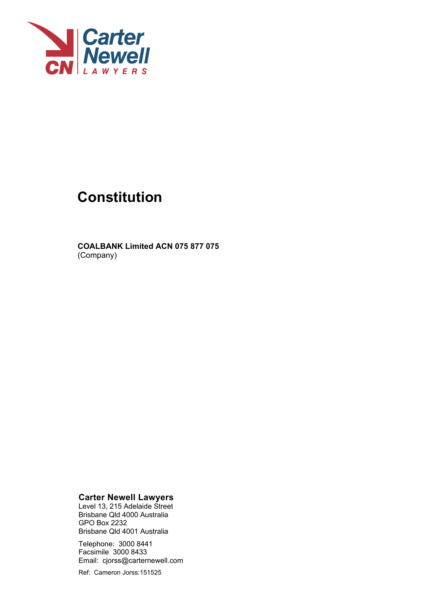

# **Constitution**

**COALBANK Limited ACN 075 877 075**  (Company)

**Carter Newell Lawyers** 

Level 13, 215 Adelaide Street Brisbane Qld 4000 Australia GPO Box 2232 Brisbane Qld 4001 Australia

Telephone: 3000 8441 Facsimile 3000 8433 Email: cjorss@carternewell.com

Ref: Cameron Jorss:151525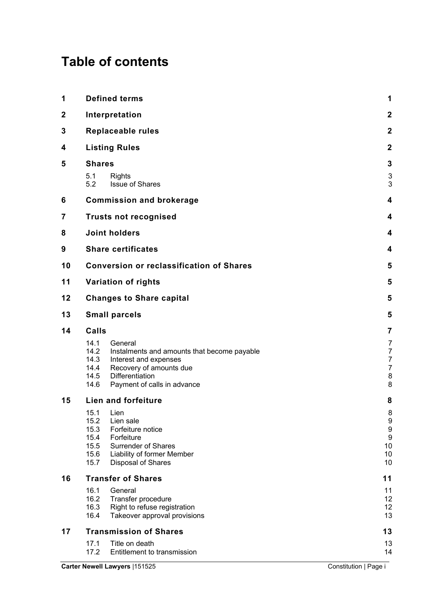## **Table of contents**

| 1           | <b>Defined terms</b>                                                                                                                                                                                         |                                    |  |  |  |
|-------------|--------------------------------------------------------------------------------------------------------------------------------------------------------------------------------------------------------------|------------------------------------|--|--|--|
| $\mathbf 2$ | Interpretation                                                                                                                                                                                               |                                    |  |  |  |
| 3           | <b>Replaceable rules</b>                                                                                                                                                                                     |                                    |  |  |  |
| 4           | <b>Listing Rules</b>                                                                                                                                                                                         | $\mathbf{2}$                       |  |  |  |
| 5           | <b>Shares</b>                                                                                                                                                                                                |                                    |  |  |  |
|             | 5.1<br><b>Rights</b><br>5.2<br><b>Issue of Shares</b>                                                                                                                                                        | 3<br>3                             |  |  |  |
| 6           | <b>Commission and brokerage</b>                                                                                                                                                                              | $\overline{4}$                     |  |  |  |
| 7           | <b>Trusts not recognised</b>                                                                                                                                                                                 |                                    |  |  |  |
| 8           | <b>Joint holders</b>                                                                                                                                                                                         |                                    |  |  |  |
| 9           | <b>Share certificates</b>                                                                                                                                                                                    | 4                                  |  |  |  |
| 10          | <b>Conversion or reclassification of Shares</b>                                                                                                                                                              | 5                                  |  |  |  |
| 11          | Variation of rights                                                                                                                                                                                          | 5                                  |  |  |  |
| 12          | <b>Changes to Share capital</b>                                                                                                                                                                              |                                    |  |  |  |
| 13          | <b>Small parcels</b>                                                                                                                                                                                         | 5                                  |  |  |  |
| 14          | Calls                                                                                                                                                                                                        |                                    |  |  |  |
|             | 14.1<br>General<br>14.2<br>Instalments and amounts that become payable<br>14.3<br>Interest and expenses<br>Recovery of amounts due<br>14.4<br>14.5<br>Differentiation<br>14.6<br>Payment of calls in advance | 7<br>7<br>7<br>7<br>8<br>8         |  |  |  |
| 15          | <b>Lien and forfeiture</b>                                                                                                                                                                                   | 8                                  |  |  |  |
|             | 15.1<br>Lien<br>15.2<br>Lien sale<br>15.3<br>Forfeiture notice<br>15.4<br>Forfeiture<br>15.5<br>Surrender of Shares<br>15.6<br>Liability of former Member<br>15.7<br>Disposal of Shares                      | 8<br>9<br>9<br>9<br>10<br>10<br>10 |  |  |  |
| 16          | <b>Transfer of Shares</b>                                                                                                                                                                                    | 11                                 |  |  |  |
|             | 16.1<br>General<br>16.2<br>Transfer procedure<br>16.3<br>Right to refuse registration<br>16.4<br>Takeover approval provisions                                                                                | 11<br>12<br>12<br>13               |  |  |  |
| 17          | <b>Transmission of Shares</b>                                                                                                                                                                                | 13                                 |  |  |  |
|             | 17.1<br>Title on death<br>17.2<br>Entitlement to transmission                                                                                                                                                | 13<br>14                           |  |  |  |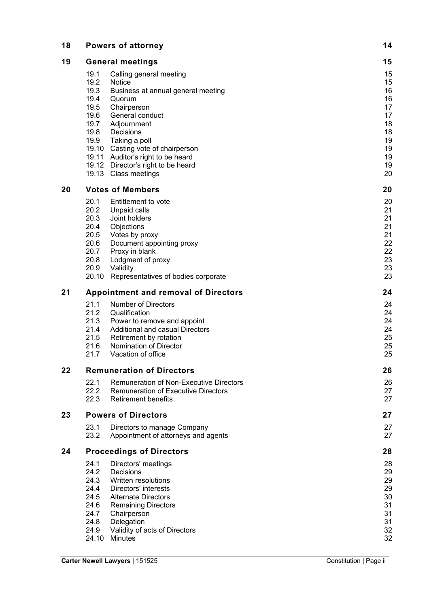| 18 |                                             | <b>Powers of attorney</b>                                                                                                            | 14                   |
|----|---------------------------------------------|--------------------------------------------------------------------------------------------------------------------------------------|----------------------|
| 19 | <b>General meetings</b>                     |                                                                                                                                      | 15                   |
|    | 19.1                                        | Calling general meeting                                                                                                              | 15                   |
|    | 19.2                                        | <b>Notice</b>                                                                                                                        | 15                   |
|    | 19.3                                        | Business at annual general meeting                                                                                                   | 16                   |
|    | 19.4                                        | Quorum                                                                                                                               | 16                   |
|    | 19.5                                        | Chairperson                                                                                                                          | 17                   |
|    | 19.6                                        | General conduct                                                                                                                      | 17                   |
|    | 19.7                                        | Adjournment                                                                                                                          | 18                   |
|    | 19.8                                        | Decisions                                                                                                                            | 18                   |
|    | 19.9                                        | Taking a poll                                                                                                                        | 19                   |
|    |                                             | 19.10 Casting vote of chairperson<br>19.11 Auditor's right to be heard<br>19.12 Director's right to be heard<br>19.13 Class meetings | 19<br>19<br>19<br>20 |
| 20 | <b>Votes of Members</b>                     |                                                                                                                                      | 20                   |
|    | 20.1                                        | Entitlement to vote                                                                                                                  | 20                   |
|    | 20.2                                        | Unpaid calls                                                                                                                         | 21                   |
|    | 20.3                                        | Joint holders                                                                                                                        | 21                   |
|    | 20.4                                        | Objections                                                                                                                           | 21                   |
|    | 20.5                                        | Votes by proxy                                                                                                                       | 21                   |
|    | 20.6                                        | Document appointing proxy                                                                                                            | 22                   |
|    | 20.7                                        | Proxy in blank                                                                                                                       | 22                   |
|    | 20.8                                        | Lodgment of proxy                                                                                                                    | 23                   |
|    | 20.9                                        | Validity                                                                                                                             | 23                   |
|    | 20.10                                       | Representatives of bodies corporate                                                                                                  | 23                   |
| 21 | <b>Appointment and removal of Directors</b> |                                                                                                                                      | 24                   |
|    | 21.1                                        | <b>Number of Directors</b>                                                                                                           | 24                   |
|    | 21.2                                        | Qualification                                                                                                                        | 24                   |
|    | 21.3                                        | Power to remove and appoint                                                                                                          | 24                   |
|    | 21.4                                        | Additional and casual Directors                                                                                                      | 24                   |
|    | 21.5                                        | Retirement by rotation                                                                                                               | 25                   |
|    | 21.6                                        | Nomination of Director                                                                                                               | 25                   |
|    | 21.7                                        | Vacation of office                                                                                                                   | 25                   |
| 22 | <b>Remuneration of Directors</b>            | 26                                                                                                                                   |                      |
|    | 22.1                                        | <b>Remuneration of Non-Executive Directors</b>                                                                                       | 26                   |
|    | 22.2                                        | <b>Remuneration of Executive Directors</b>                                                                                           | 27                   |
|    | 22.3                                        | <b>Retirement benefits</b>                                                                                                           | 27                   |
| 23 | <b>Powers of Directors</b>                  | 27                                                                                                                                   |                      |
|    | 23.1                                        | Directors to manage Company                                                                                                          | 27                   |
|    | 23.2                                        | Appointment of attorneys and agents                                                                                                  | 27                   |
| 24 |                                             | <b>Proceedings of Directors</b>                                                                                                      | 28                   |
|    | 24.1                                        | Directors' meetings                                                                                                                  | 28                   |
|    | 24.2                                        | Decisions                                                                                                                            | 29                   |
|    | 24.3                                        | Written resolutions                                                                                                                  | 29                   |
|    | 24.4                                        | Directors' interests                                                                                                                 | 29                   |
|    | 24.5                                        | <b>Alternate Directors</b>                                                                                                           | 30                   |
|    | 24.6                                        | <b>Remaining Directors</b>                                                                                                           | 31                   |
|    | 24.7                                        | Chairperson                                                                                                                          | 31                   |
|    | 24.8                                        | Delegation                                                                                                                           | 31                   |
|    | 24.9                                        | Validity of acts of Directors                                                                                                        | 32                   |
|    | 24.10                                       | <b>Minutes</b>                                                                                                                       | 32                   |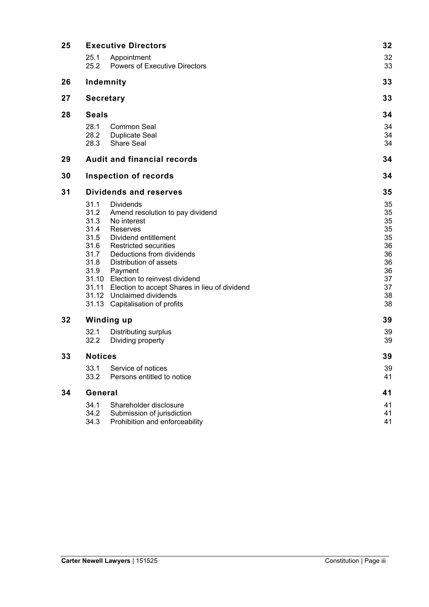| 25 | <b>Executive Directors</b>                                           | 32                                                                                                                                                                                                                                                                                                                                                                      |                                                                            |
|----|----------------------------------------------------------------------|-------------------------------------------------------------------------------------------------------------------------------------------------------------------------------------------------------------------------------------------------------------------------------------------------------------------------------------------------------------------------|----------------------------------------------------------------------------|
|    | 25.1<br>25.2                                                         | Appointment<br><b>Powers of Executive Directors</b>                                                                                                                                                                                                                                                                                                                     | 32<br>33                                                                   |
| 26 |                                                                      | Indemnity                                                                                                                                                                                                                                                                                                                                                               | 33                                                                         |
| 27 |                                                                      | <b>Secretary</b>                                                                                                                                                                                                                                                                                                                                                        | 33                                                                         |
| 28 | <b>Seals</b>                                                         | 34                                                                                                                                                                                                                                                                                                                                                                      |                                                                            |
|    | 28.1<br>28.2<br>28.3                                                 | Common Seal<br><b>Duplicate Seal</b><br><b>Share Seal</b>                                                                                                                                                                                                                                                                                                               | 34<br>34<br>34                                                             |
| 29 |                                                                      | <b>Audit and financial records</b>                                                                                                                                                                                                                                                                                                                                      | 34                                                                         |
| 30 |                                                                      | <b>Inspection of records</b>                                                                                                                                                                                                                                                                                                                                            | 34                                                                         |
| 31 | <b>Dividends and reserves</b>                                        | 35                                                                                                                                                                                                                                                                                                                                                                      |                                                                            |
|    | 31.1<br>31.2<br>31.3<br>31.4<br>31.5<br>31.6<br>31.7<br>31.8<br>31.9 | <b>Dividends</b><br>Amend resolution to pay dividend<br>No interest<br>Reserves<br>Dividend entitlement<br><b>Restricted securities</b><br>Deductions from dividends<br>Distribution of assets<br>Payment<br>31.10 Election to reinvest dividend<br>31.11 Election to accept Shares in lieu of dividend<br>31.12 Unclaimed dividends<br>31.13 Capitalisation of profits | 35<br>35<br>35<br>35<br>35<br>36<br>36<br>36<br>36<br>37<br>37<br>38<br>38 |
| 32 | <b>Winding up</b>                                                    |                                                                                                                                                                                                                                                                                                                                                                         |                                                                            |
|    | 32.1<br>32.2                                                         | <b>Distributing surplus</b><br>Dividing property                                                                                                                                                                                                                                                                                                                        | 39<br>39                                                                   |
| 33 | <b>Notices</b>                                                       | 39                                                                                                                                                                                                                                                                                                                                                                      |                                                                            |
|    | 33.1<br>33.2                                                         | Service of notices<br>Persons entitled to notice                                                                                                                                                                                                                                                                                                                        | 39<br>41                                                                   |
| 34 | General                                                              | 41                                                                                                                                                                                                                                                                                                                                                                      |                                                                            |
|    | 34.1<br>34.2<br>34.3                                                 | Shareholder disclosure<br>Submission of jurisdiction<br>Prohibition and enforceability                                                                                                                                                                                                                                                                                  | 41<br>41<br>41                                                             |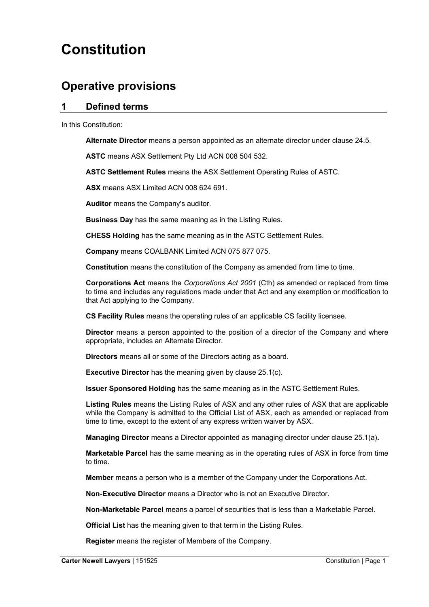## **Constitution**

## **Operative provisions**

## **1 Defined terms**

In this Constitution:

**Alternate Director** means a person appointed as an alternate director under clause 24.5.

**ASTC** means ASX Settlement Pty Ltd ACN 008 504 532.

**ASTC Settlement Rules** means the ASX Settlement Operating Rules of ASTC.

**ASX** means ASX Limited ACN 008 624 691.

**Auditor** means the Company's auditor.

**Business Day** has the same meaning as in the Listing Rules.

**CHESS Holding** has the same meaning as in the ASTC Settlement Rules.

**Company** means COALBANK Limited ACN 075 877 075.

**Constitution** means the constitution of the Company as amended from time to time.

**Corporations Act** means the *Corporations Act 2001* (Cth) as amended or replaced from time to time and includes any regulations made under that Act and any exemption or modification to that Act applying to the Company.

**CS Facility Rules** means the operating rules of an applicable CS facility licensee.

**Director** means a person appointed to the position of a director of the Company and where appropriate, includes an Alternate Director.

**Directors** means all or some of the Directors acting as a board.

**Executive Director** has the meaning given by clause 25.1(c).

**Issuer Sponsored Holding** has the same meaning as in the ASTC Settlement Rules.

**Listing Rules** means the Listing Rules of ASX and any other rules of ASX that are applicable while the Company is admitted to the Official List of ASX, each as amended or replaced from time to time, except to the extent of any express written waiver by ASX.

**Managing Director** means a Director appointed as managing director under clause 25.1(a)**.**

**Marketable Parcel** has the same meaning as in the operating rules of ASX in force from time to time.

**Member** means a person who is a member of the Company under the Corporations Act.

**Non-Executive Director** means a Director who is not an Executive Director.

**Non-Marketable Parcel** means a parcel of securities that is less than a Marketable Parcel.

**Official List** has the meaning given to that term in the Listing Rules.

**Register** means the register of Members of the Company.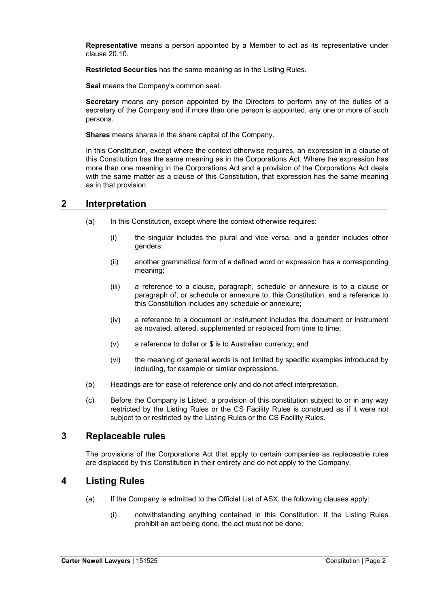**Representative** means a person appointed by a Member to act as its representative under clause 20.10.

**Restricted Secur**i**ties** has the same meaning as in the Listing Rules.

**Seal** means the Company's common seal.

**Secretary** means any person appointed by the Directors to perform any of the duties of a secretary of the Company and if more than one person is appointed, any one or more of such persons.

**Shares** means shares in the share capital of the Company.

In this Constitution, except where the context otherwise requires, an expression in a clause of this Constitution has the same meaning as in the Corporations Act. Where the expression has more than one meaning in the Corporations Act and a provision of the Corporations Act deals with the same matter as a clause of this Constitution, that expression has the same meaning as in that provision.

## **2 Interpretation**

- (a) In this Constitution, except where the context otherwise requires:
	- (i) the singular includes the plural and vice versa, and a gender includes other genders;
	- (ii) another grammatical form of a defined word or expression has a corresponding meaning;
	- (iii) a reference to a clause, paragraph, schedule or annexure is to a clause or paragraph of, or schedule or annexure to, this Constitution, and a reference to this Constitution includes any schedule or annexure;
	- (iv) a reference to a document or instrument includes the document or instrument as novated, altered, supplemented or replaced from time to time;
	- (v) a reference to dollar or \$ is to Australian currency; and
	- (vi) the meaning of general words is not limited by specific examples introduced by including, for example or similar expressions.
- (b) Headings are for ease of reference only and do not affect interpretation.
- (c) Before the Company is Listed, a provision of this constitution subject to or in any way restricted by the Listing Rules or the CS Facility Rules is construed as if it were not subject to or restricted by the Listing Rules or the CS Facility Rules.

## **3 Replaceable rules**

The provisions of the Corporations Act that apply to certain companies as replaceable rules are displaced by this Constitution in their entirety and do not apply to the Company.

## **4 Listing Rules**

- (a) If the Company is admitted to the Official List of ASX, the following clauses apply:
	- (i) notwithstanding anything contained in this Constitution, if the Listing Rules prohibit an act being done, the act must not be done;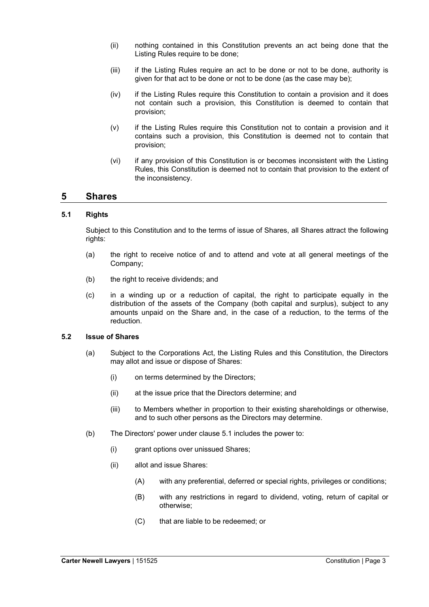- (ii) nothing contained in this Constitution prevents an act being done that the Listing Rules require to be done;
- (iii) if the Listing Rules require an act to be done or not to be done, authority is given for that act to be done or not to be done (as the case may be);
- (iv) if the Listing Rules require this Constitution to contain a provision and it does not contain such a provision, this Constitution is deemed to contain that provision;
- (v) if the Listing Rules require this Constitution not to contain a provision and it contains such a provision, this Constitution is deemed not to contain that provision;
- (vi) if any provision of this Constitution is or becomes inconsistent with the Listing Rules, this Constitution is deemed not to contain that provision to the extent of the inconsistency.

## **5 Shares**

#### **5.1 Rights**

Subject to this Constitution and to the terms of issue of Shares, all Shares attract the following rights:

- (a) the right to receive notice of and to attend and vote at all general meetings of the Company;
- (b) the right to receive dividends; and
- (c) in a winding up or a reduction of capital, the right to participate equally in the distribution of the assets of the Company (both capital and surplus), subject to any amounts unpaid on the Share and, in the case of a reduction, to the terms of the reduction.

#### **5.2 Issue of Shares**

- (a) Subject to the Corporations Act, the Listing Rules and this Constitution, the Directors may allot and issue or dispose of Shares:
	- (i) on terms determined by the Directors;
	- (ii) at the issue price that the Directors determine; and
	- (iii) to Members whether in proportion to their existing shareholdings or otherwise, and to such other persons as the Directors may determine.
- (b) The Directors' power under clause 5.1 includes the power to:
	- (i) grant options over unissued Shares;
	- (ii) allot and issue Shares:
		- (A) with any preferential, deferred or special rights, privileges or conditions;
		- (B) with any restrictions in regard to dividend, voting, return of capital or otherwise;
		- (C) that are liable to be redeemed; or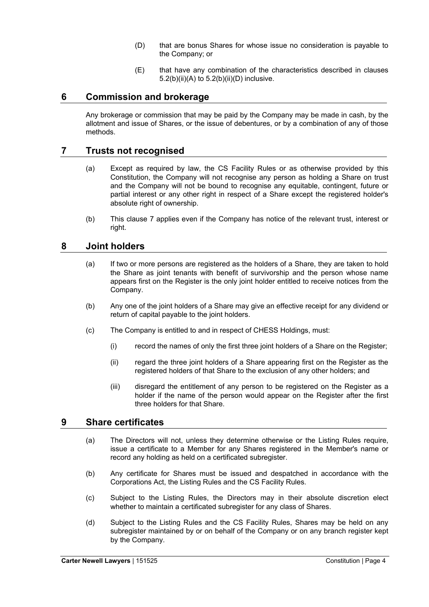- (D) that are bonus Shares for whose issue no consideration is payable to the Company; or
- (E) that have any combination of the characteristics described in clauses  $5.2(b)(ii)(A)$  to  $5.2(b)(ii)(D)$  inclusive.

## **6 Commission and brokerage**

Any brokerage or commission that may be paid by the Company may be made in cash, by the allotment and issue of Shares, or the issue of debentures, or by a combination of any of those methods.

## **7 Trusts not recognised**

- (a) Except as required by law, the CS Facility Rules or as otherwise provided by this Constitution, the Company will not recognise any person as holding a Share on trust and the Company will not be bound to recognise any equitable, contingent, future or partial interest or any other right in respect of a Share except the registered holder's absolute right of ownership.
- (b) This clause 7 applies even if the Company has notice of the relevant trust, interest or right.

## **8 Joint holders**

- (a) If two or more persons are registered as the holders of a Share, they are taken to hold the Share as joint tenants with benefit of survivorship and the person whose name appears first on the Register is the only joint holder entitled to receive notices from the Company.
- (b) Any one of the joint holders of a Share may give an effective receipt for any dividend or return of capital payable to the joint holders.
- (c) The Company is entitled to and in respect of CHESS Holdings, must:
	- (i) record the names of only the first three joint holders of a Share on the Register;
	- (ii) regard the three joint holders of a Share appearing first on the Register as the registered holders of that Share to the exclusion of any other holders; and
	- (iii) disregard the entitlement of any person to be registered on the Register as a holder if the name of the person would appear on the Register after the first three holders for that Share.

## **9 Share certificates**

- (a) The Directors will not, unless they determine otherwise or the Listing Rules require, issue a certificate to a Member for any Shares registered in the Member's name or record any holding as held on a certificated subregister.
- (b) Any certificate for Shares must be issued and despatched in accordance with the Corporations Act, the Listing Rules and the CS Facility Rules.
- (c) Subject to the Listing Rules, the Directors may in their absolute discretion elect whether to maintain a certificated subregister for any class of Shares.
- (d) Subject to the Listing Rules and the CS Facility Rules, Shares may be held on any subregister maintained by or on behalf of the Company or on any branch register kept by the Company.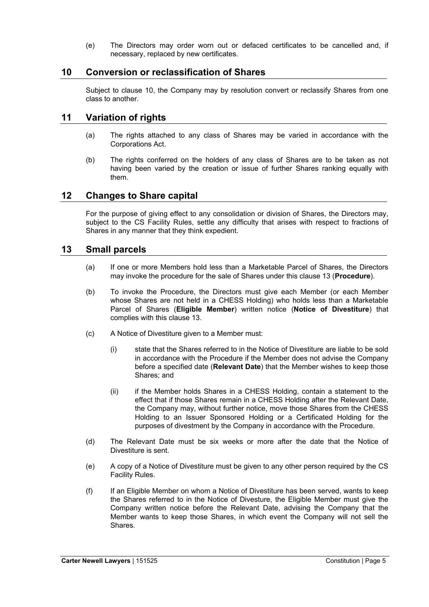(e) The Directors may order worn out or defaced certificates to be cancelled and, if necessary, replaced by new certificates.

## **10 Conversion or reclassification of Shares**

Subject to clause 10, the Company may by resolution convert or reclassify Shares from one class to another.

## **11 Variation of rights**

- (a) The rights attached to any class of Shares may be varied in accordance with the Corporations Act.
- (b) The rights conferred on the holders of any class of Shares are to be taken as not having been varied by the creation or issue of further Shares ranking equally with them.

## **12 Changes to Share capital**

For the purpose of giving effect to any consolidation or division of Shares, the Directors may, subject to the CS Facility Rules, settle any difficulty that arises with respect to fractions of Shares in any manner that they think expedient.

## **13 Small parcels**

- (a) If one or more Members hold less than a Marketable Parcel of Shares, the Directors may invoke the procedure for the sale of Shares under this clause 13 (**Procedure**).
- (b) To invoke the Procedure, the Directors must give each Member (or each Member whose Shares are not held in a CHESS Holding) who holds less than a Marketable Parcel of Shares (**Eligible Member**) written notice (**Notice of Divestiture**) that complies with this clause 13.
- (c) A Notice of Divestiture given to a Member must:
	- (i) state that the Shares referred to in the Notice of Divestiture are liable to be sold in accordance with the Procedure if the Member does not advise the Company before a specified date (**Relevant Date**) that the Member wishes to keep those Shares; and
	- (ii) if the Member holds Shares in a CHESS Holding, contain a statement to the effect that if those Shares remain in a CHESS Holding after the Relevant Date, the Company may, without further notice, move those Shares from the CHESS Holding to an Issuer Sponsored Holding or a Certificated Holding for the purposes of divestment by the Company in accordance with the Procedure.
- (d) The Relevant Date must be six weeks or more after the date that the Notice of Divestiture is sent.
- (e) A copy of a Notice of Divestiture must be given to any other person required by the CS Facility Rules.
- (f) If an Eligible Member on whom a Notice of Divestiture has been served, wants to keep the Shares referred to in the Notice of Divesture, the Eligible Member must give the Company written notice before the Relevant Date, advising the Company that the Member wants to keep those Shares, in which event the Company will not sell the Shares.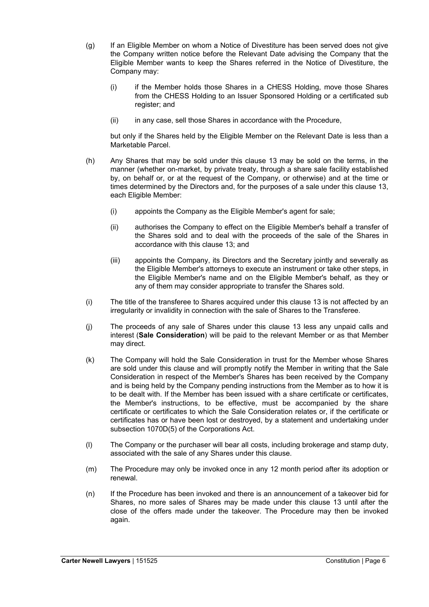- (g) If an Eligible Member on whom a Notice of Divestiture has been served does not give the Company written notice before the Relevant Date advising the Company that the Eligible Member wants to keep the Shares referred in the Notice of Divestiture, the Company may:
	- (i) if the Member holds those Shares in a CHESS Holding, move those Shares from the CHESS Holding to an Issuer Sponsored Holding or a certificated sub register; and
	- (ii) in any case, sell those Shares in accordance with the Procedure,

but only if the Shares held by the Eligible Member on the Relevant Date is less than a Marketable Parcel.

- (h) Any Shares that may be sold under this clause 13 may be sold on the terms, in the manner (whether on-market, by private treaty, through a share sale facility established by, on behalf or, or at the request of the Company, or otherwise) and at the time or times determined by the Directors and, for the purposes of a sale under this clause 13, each Eligible Member:
	- (i) appoints the Company as the Eligible Member's agent for sale;
	- (ii) authorises the Company to effect on the Eligible Member's behalf a transfer of the Shares sold and to deal with the proceeds of the sale of the Shares in accordance with this clause 13; and
	- (iii) appoints the Company, its Directors and the Secretary jointly and severally as the Eligible Member's attorneys to execute an instrument or take other steps, in the Eligible Member's name and on the Eligible Member's behalf, as they or any of them may consider appropriate to transfer the Shares sold.
- (i) The title of the transferee to Shares acquired under this clause 13 is not affected by an irregularity or invalidity in connection with the sale of Shares to the Transferee.
- (j) The proceeds of any sale of Shares under this clause 13 less any unpaid calls and interest (**Sale Consideration**) will be paid to the relevant Member or as that Member may direct.
- (k) The Company will hold the Sale Consideration in trust for the Member whose Shares are sold under this clause and will promptly notify the Member in writing that the Sale Consideration in respect of the Member's Shares has been received by the Company and is being held by the Company pending instructions from the Member as to how it is to be dealt with. If the Member has been issued with a share certificate or certificates, the Member's instructions, to be effective, must be accompanied by the share certificate or certificates to which the Sale Consideration relates or, if the certificate or certificates has or have been lost or destroyed, by a statement and undertaking under subsection 1070D(5) of the Corporations Act.
- (l) The Company or the purchaser will bear all costs, including brokerage and stamp duty, associated with the sale of any Shares under this clause.
- (m) The Procedure may only be invoked once in any 12 month period after its adoption or renewal.
- (n) If the Procedure has been invoked and there is an announcement of a takeover bid for Shares, no more sales of Shares may be made under this clause 13 until after the close of the offers made under the takeover. The Procedure may then be invoked again.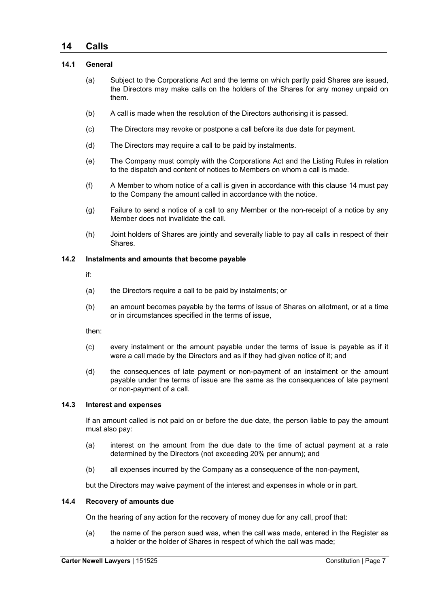## **14 Calls**

#### **14.1 General**

- (a) Subject to the Corporations Act and the terms on which partly paid Shares are issued, the Directors may make calls on the holders of the Shares for any money unpaid on them.
- (b) A call is made when the resolution of the Directors authorising it is passed.
- (c) The Directors may revoke or postpone a call before its due date for payment.
- (d) The Directors may require a call to be paid by instalments.
- (e) The Company must comply with the Corporations Act and the Listing Rules in relation to the dispatch and content of notices to Members on whom a call is made.
- (f) A Member to whom notice of a call is given in accordance with this clause 14 must pay to the Company the amount called in accordance with the notice.
- (g) Failure to send a notice of a call to any Member or the non-receipt of a notice by any Member does not invalidate the call.
- (h) Joint holders of Shares are jointly and severally liable to pay all calls in respect of their Shares.

#### **14.2 Instalments and amounts that become payable**

if:

- (a) the Directors require a call to be paid by instalments; or
- (b) an amount becomes payable by the terms of issue of Shares on allotment, or at a time or in circumstances specified in the terms of issue,

then:

- (c) every instalment or the amount payable under the terms of issue is payable as if it were a call made by the Directors and as if they had given notice of it; and
- (d) the consequences of late payment or non-payment of an instalment or the amount payable under the terms of issue are the same as the consequences of late payment or non-payment of a call.

#### **14.3 Interest and expenses**

If an amount called is not paid on or before the due date, the person liable to pay the amount must also pay:

- (a) interest on the amount from the due date to the time of actual payment at a rate determined by the Directors (not exceeding 20% per annum); and
- (b) all expenses incurred by the Company as a consequence of the non-payment,

but the Directors may waive payment of the interest and expenses in whole or in part.

#### **14.4 Recovery of amounts due**

On the hearing of any action for the recovery of money due for any call, proof that:

(a) the name of the person sued was, when the call was made, entered in the Register as a holder or the holder of Shares in respect of which the call was made;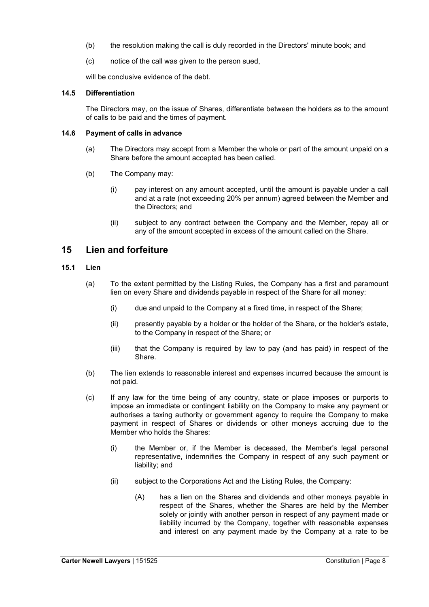- (b) the resolution making the call is duly recorded in the Directors' minute book; and
- (c) notice of the call was given to the person sued,

will be conclusive evidence of the debt.

#### **14.5 Differentiation**

The Directors may, on the issue of Shares, differentiate between the holders as to the amount of calls to be paid and the times of payment.

#### **14.6 Payment of calls in advance**

- (a) The Directors may accept from a Member the whole or part of the amount unpaid on a Share before the amount accepted has been called.
- (b) The Company may:
	- (i) pay interest on any amount accepted, until the amount is payable under a call and at a rate (not exceeding 20% per annum) agreed between the Member and the Directors; and
	- (ii) subject to any contract between the Company and the Member, repay all or any of the amount accepted in excess of the amount called on the Share.

## **15 Lien and forfeiture**

#### **15.1 Lien**

- (a) To the extent permitted by the Listing Rules, the Company has a first and paramount lien on every Share and dividends payable in respect of the Share for all money:
	- (i) due and unpaid to the Company at a fixed time, in respect of the Share;
	- (ii) presently payable by a holder or the holder of the Share, or the holder's estate, to the Company in respect of the Share; or
	- (iii) that the Company is required by law to pay (and has paid) in respect of the Share.
- (b) The lien extends to reasonable interest and expenses incurred because the amount is not paid.
- (c) If any law for the time being of any country, state or place imposes or purports to impose an immediate or contingent liability on the Company to make any payment or authorises a taxing authority or government agency to require the Company to make payment in respect of Shares or dividends or other moneys accruing due to the Member who holds the Shares:
	- (i) the Member or, if the Member is deceased, the Member's legal personal representative, indemnifies the Company in respect of any such payment or liability; and
	- (ii) subject to the Corporations Act and the Listing Rules, the Company:
		- (A) has a lien on the Shares and dividends and other moneys payable in respect of the Shares, whether the Shares are held by the Member solely or jointly with another person in respect of any payment made or liability incurred by the Company, together with reasonable expenses and interest on any payment made by the Company at a rate to be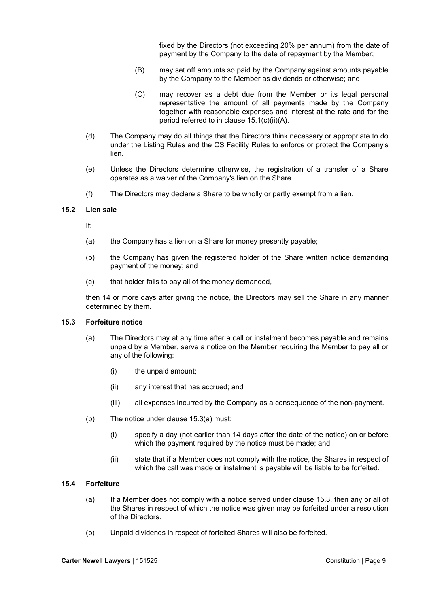fixed by the Directors (not exceeding 20% per annum) from the date of payment by the Company to the date of repayment by the Member;

- (B) may set off amounts so paid by the Company against amounts payable by the Company to the Member as dividends or otherwise; and
- (C) may recover as a debt due from the Member or its legal personal representative the amount of all payments made by the Company together with reasonable expenses and interest at the rate and for the period referred to in clause 15.1(c)(ii)(A).
- (d) The Company may do all things that the Directors think necessary or appropriate to do under the Listing Rules and the CS Facility Rules to enforce or protect the Company's lien.
- (e) Unless the Directors determine otherwise, the registration of a transfer of a Share operates as a waiver of the Company's lien on the Share.
- (f) The Directors may declare a Share to be wholly or partly exempt from a lien.

#### **15.2 Lien sale**

If:

- (a) the Company has a lien on a Share for money presently payable;
- (b) the Company has given the registered holder of the Share written notice demanding payment of the money; and
- (c) that holder fails to pay all of the money demanded,

then 14 or more days after giving the notice, the Directors may sell the Share in any manner determined by them.

#### **15.3 Forfeiture notice**

- (a) The Directors may at any time after a call or instalment becomes payable and remains unpaid by a Member, serve a notice on the Member requiring the Member to pay all or any of the following:
	- (i) the unpaid amount;
	- (ii) any interest that has accrued; and
	- (iii) all expenses incurred by the Company as a consequence of the non-payment.
- (b) The notice under clause 15.3(a) must:
	- (i) specify a day (not earlier than 14 days after the date of the notice) on or before which the payment required by the notice must be made; and
	- (ii) state that if a Member does not comply with the notice, the Shares in respect of which the call was made or instalment is payable will be liable to be forfeited.

#### **15.4 Forfeiture**

- (a) If a Member does not comply with a notice served under clause 15.3, then any or all of the Shares in respect of which the notice was given may be forfeited under a resolution of the Directors.
- (b) Unpaid dividends in respect of forfeited Shares will also be forfeited.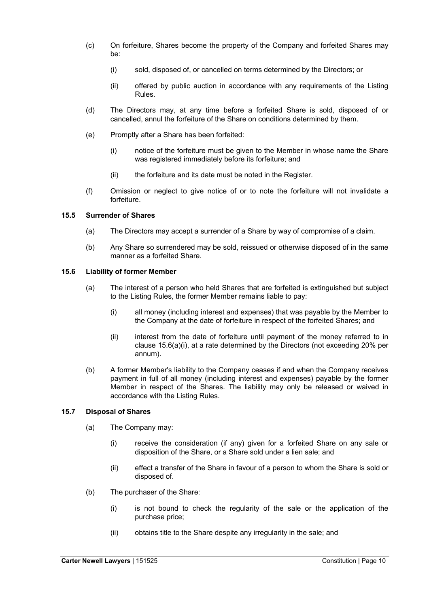- (c) On forfeiture, Shares become the property of the Company and forfeited Shares may be:
	- (i) sold, disposed of, or cancelled on terms determined by the Directors; or
	- (ii) offered by public auction in accordance with any requirements of the Listing Rules.
- (d) The Directors may, at any time before a forfeited Share is sold, disposed of or cancelled, annul the forfeiture of the Share on conditions determined by them.
- (e) Promptly after a Share has been forfeited:
	- (i) notice of the forfeiture must be given to the Member in whose name the Share was registered immediately before its forfeiture; and
	- (ii) the forfeiture and its date must be noted in the Register.
- (f) Omission or neglect to give notice of or to note the forfeiture will not invalidate a forfeiture.

#### **15.5 Surrender of Shares**

- (a) The Directors may accept a surrender of a Share by way of compromise of a claim.
- (b) Any Share so surrendered may be sold, reissued or otherwise disposed of in the same manner as a forfeited Share.

#### **15.6 Liability of former Member**

- (a) The interest of a person who held Shares that are forfeited is extinguished but subject to the Listing Rules, the former Member remains liable to pay:
	- (i) all money (including interest and expenses) that was payable by the Member to the Company at the date of forfeiture in respect of the forfeited Shares; and
	- (ii) interest from the date of forfeiture until payment of the money referred to in clause 15.6(a)(i), at a rate determined by the Directors (not exceeding 20% per annum).
- (b) A former Member's liability to the Company ceases if and when the Company receives payment in full of all money (including interest and expenses) payable by the former Member in respect of the Shares. The liability may only be released or waived in accordance with the Listing Rules.

#### **15.7 Disposal of Shares**

- (a) The Company may:
	- (i) receive the consideration (if any) given for a forfeited Share on any sale or disposition of the Share, or a Share sold under a lien sale; and
	- (ii) effect a transfer of the Share in favour of a person to whom the Share is sold or disposed of.
- (b) The purchaser of the Share:
	- (i) is not bound to check the regularity of the sale or the application of the purchase price;
	- (ii) obtains title to the Share despite any irregularity in the sale; and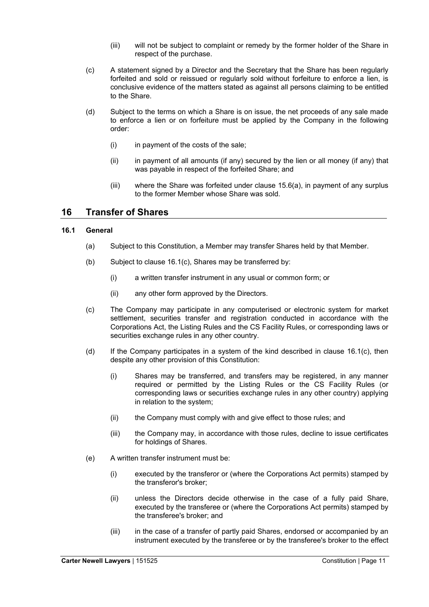- (iii) will not be subject to complaint or remedy by the former holder of the Share in respect of the purchase.
- (c) A statement signed by a Director and the Secretary that the Share has been regularly forfeited and sold or reissued or regularly sold without forfeiture to enforce a lien, is conclusive evidence of the matters stated as against all persons claiming to be entitled to the Share.
- (d) Subject to the terms on which a Share is on issue, the net proceeds of any sale made to enforce a lien or on forfeiture must be applied by the Company in the following order:
	- (i) in payment of the costs of the sale;
	- (ii) in payment of all amounts (if any) secured by the lien or all money (if any) that was payable in respect of the forfeited Share; and
	- (iii) where the Share was forfeited under clause 15.6(a), in payment of any surplus to the former Member whose Share was sold.

## **16 Transfer of Shares**

#### **16.1 General**

- (a) Subject to this Constitution, a Member may transfer Shares held by that Member.
- (b) Subject to clause 16.1(c), Shares may be transferred by:
	- (i) a written transfer instrument in any usual or common form; or
	- (ii) any other form approved by the Directors.
- (c) The Company may participate in any computerised or electronic system for market settlement, securities transfer and registration conducted in accordance with the Corporations Act, the Listing Rules and the CS Facility Rules, or corresponding laws or securities exchange rules in any other country.
- (d) If the Company participates in a system of the kind described in clause  $16.1(c)$ , then despite any other provision of this Constitution:
	- (i) Shares may be transferred, and transfers may be registered, in any manner required or permitted by the Listing Rules or the CS Facility Rules (or corresponding laws or securities exchange rules in any other country) applying in relation to the system;
	- (ii) the Company must comply with and give effect to those rules; and
	- (iii) the Company may, in accordance with those rules, decline to issue certificates for holdings of Shares.
- (e) A written transfer instrument must be:
	- (i) executed by the transferor or (where the Corporations Act permits) stamped by the transferor's broker;
	- (ii) unless the Directors decide otherwise in the case of a fully paid Share, executed by the transferee or (where the Corporations Act permits) stamped by the transferee's broker; and
	- (iii) in the case of a transfer of partly paid Shares, endorsed or accompanied by an instrument executed by the transferee or by the transferee's broker to the effect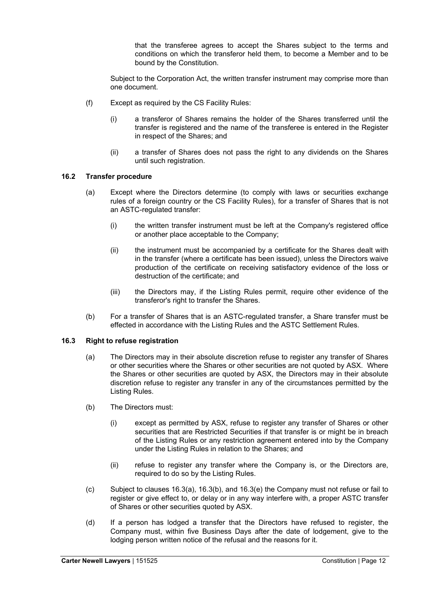that the transferee agrees to accept the Shares subject to the terms and conditions on which the transferor held them, to become a Member and to be bound by the Constitution.

Subject to the Corporation Act, the written transfer instrument may comprise more than one document.

- (f) Except as required by the CS Facility Rules:
	- (i) a transferor of Shares remains the holder of the Shares transferred until the transfer is registered and the name of the transferee is entered in the Register in respect of the Shares; and
	- (ii) a transfer of Shares does not pass the right to any dividends on the Shares until such registration.

#### **16.2 Transfer procedure**

- (a) Except where the Directors determine (to comply with laws or securities exchange rules of a foreign country or the CS Facility Rules), for a transfer of Shares that is not an ASTC-regulated transfer:
	- (i) the written transfer instrument must be left at the Company's registered office or another place acceptable to the Company;
	- (ii) the instrument must be accompanied by a certificate for the Shares dealt with in the transfer (where a certificate has been issued), unless the Directors waive production of the certificate on receiving satisfactory evidence of the loss or destruction of the certificate; and
	- (iii) the Directors may, if the Listing Rules permit, require other evidence of the transferor's right to transfer the Shares.
- (b) For a transfer of Shares that is an ASTC-regulated transfer, a Share transfer must be effected in accordance with the Listing Rules and the ASTC Settlement Rules.

#### **16.3 Right to refuse registration**

- (a) The Directors may in their absolute discretion refuse to register any transfer of Shares or other securities where the Shares or other securities are not quoted by ASX. Where the Shares or other securities are quoted by ASX, the Directors may in their absolute discretion refuse to register any transfer in any of the circumstances permitted by the Listing Rules.
- (b) The Directors must:
	- (i) except as permitted by ASX, refuse to register any transfer of Shares or other securities that are Restricted Securities if that transfer is or might be in breach of the Listing Rules or any restriction agreement entered into by the Company under the Listing Rules in relation to the Shares; and
	- (ii) refuse to register any transfer where the Company is, or the Directors are, required to do so by the Listing Rules.
- (c) Subject to clauses 16.3(a), 16.3(b), and 16.3(e) the Company must not refuse or fail to register or give effect to, or delay or in any way interfere with, a proper ASTC transfer of Shares or other securities quoted by ASX.
- (d) If a person has lodged a transfer that the Directors have refused to register, the Company must, within five Business Days after the date of lodgement, give to the lodging person written notice of the refusal and the reasons for it.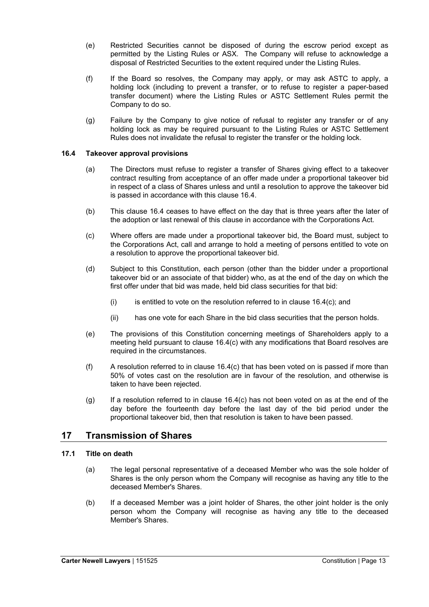- (e) Restricted Securities cannot be disposed of during the escrow period except as permitted by the Listing Rules or ASX. The Company will refuse to acknowledge a disposal of Restricted Securities to the extent required under the Listing Rules.
- (f) If the Board so resolves, the Company may apply, or may ask ASTC to apply, a holding lock (including to prevent a transfer, or to refuse to register a paper-based transfer document) where the Listing Rules or ASTC Settlement Rules permit the Company to do so.
- (g) Failure by the Company to give notice of refusal to register any transfer or of any holding lock as may be required pursuant to the Listing Rules or ASTC Settlement Rules does not invalidate the refusal to register the transfer or the holding lock.

#### **16.4 Takeover approval provisions**

- (a) The Directors must refuse to register a transfer of Shares giving effect to a takeover contract resulting from acceptance of an offer made under a proportional takeover bid in respect of a class of Shares unless and until a resolution to approve the takeover bid is passed in accordance with this clause 16.4.
- (b) This clause 16.4 ceases to have effect on the day that is three years after the later of the adoption or last renewal of this clause in accordance with the Corporations Act.
- (c) Where offers are made under a proportional takeover bid, the Board must, subject to the Corporations Act, call and arrange to hold a meeting of persons entitled to vote on a resolution to approve the proportional takeover bid.
- (d) Subject to this Constitution, each person (other than the bidder under a proportional takeover bid or an associate of that bidder) who, as at the end of the day on which the first offer under that bid was made, held bid class securities for that bid:
	- $(i)$  is entitled to vote on the resolution referred to in clause 16.4(c); and
	- (ii) has one vote for each Share in the bid class securities that the person holds.
- (e) The provisions of this Constitution concerning meetings of Shareholders apply to a meeting held pursuant to clause 16.4(c) with any modifications that Board resolves are required in the circumstances.
- (f) A resolution referred to in clause 16.4(c) that has been voted on is passed if more than 50% of votes cast on the resolution are in favour of the resolution, and otherwise is taken to have been rejected.
- (g) If a resolution referred to in clause 16.4(c) has not been voted on as at the end of the day before the fourteenth day before the last day of the bid period under the proportional takeover bid, then that resolution is taken to have been passed.

## **17 Transmission of Shares**

#### **17.1 Title on death**

- (a) The legal personal representative of a deceased Member who was the sole holder of Shares is the only person whom the Company will recognise as having any title to the deceased Member's Shares.
- (b) If a deceased Member was a joint holder of Shares, the other joint holder is the only person whom the Company will recognise as having any title to the deceased Member's Shares.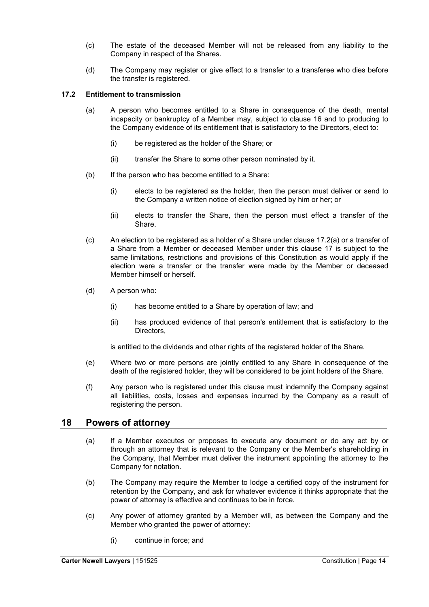- (c) The estate of the deceased Member will not be released from any liability to the Company in respect of the Shares.
- (d) The Company may register or give effect to a transfer to a transferee who dies before the transfer is registered.

#### **17.2 Entitlement to transmission**

- (a) A person who becomes entitled to a Share in consequence of the death, mental incapacity or bankruptcy of a Member may, subject to clause 16 and to producing to the Company evidence of its entitlement that is satisfactory to the Directors, elect to:
	- (i) be registered as the holder of the Share; or
	- (ii) transfer the Share to some other person nominated by it.
- (b) If the person who has become entitled to a Share:
	- (i) elects to be registered as the holder, then the person must deliver or send to the Company a written notice of election signed by him or her; or
	- (ii) elects to transfer the Share, then the person must effect a transfer of the Share.
- (c) An election to be registered as a holder of a Share under clause 17.2(a) or a transfer of a Share from a Member or deceased Member under this clause 17 is subject to the same limitations, restrictions and provisions of this Constitution as would apply if the election were a transfer or the transfer were made by the Member or deceased Member himself or herself.
- (d) A person who:
	- (i) has become entitled to a Share by operation of law; and
	- (ii) has produced evidence of that person's entitlement that is satisfactory to the Directors,

is entitled to the dividends and other rights of the registered holder of the Share.

- (e) Where two or more persons are jointly entitled to any Share in consequence of the death of the registered holder, they will be considered to be joint holders of the Share.
- (f) Any person who is registered under this clause must indemnify the Company against all liabilities, costs, losses and expenses incurred by the Company as a result of registering the person.

## **18 Powers of attorney**

- (a) If a Member executes or proposes to execute any document or do any act by or through an attorney that is relevant to the Company or the Member's shareholding in the Company, that Member must deliver the instrument appointing the attorney to the Company for notation.
- (b) The Company may require the Member to lodge a certified copy of the instrument for retention by the Company, and ask for whatever evidence it thinks appropriate that the power of attorney is effective and continues to be in force.
- (c) Any power of attorney granted by a Member will, as between the Company and the Member who granted the power of attorney:
	- (i) continue in force; and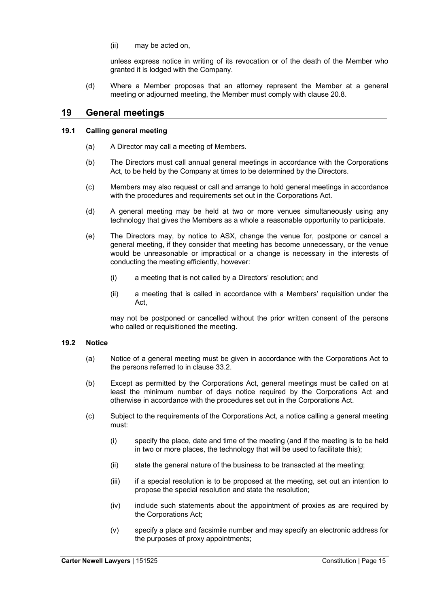(ii) may be acted on,

unless express notice in writing of its revocation or of the death of the Member who granted it is lodged with the Company.

(d) Where a Member proposes that an attorney represent the Member at a general meeting or adjourned meeting, the Member must comply with clause 20.8.

## **19 General meetings**

#### **19.1 Calling general meeting**

- (a) A Director may call a meeting of Members.
- (b) The Directors must call annual general meetings in accordance with the Corporations Act, to be held by the Company at times to be determined by the Directors.
- (c) Members may also request or call and arrange to hold general meetings in accordance with the procedures and requirements set out in the Corporations Act.
- (d) A general meeting may be held at two or more venues simultaneously using any technology that gives the Members as a whole a reasonable opportunity to participate.
- (e) The Directors may, by notice to ASX, change the venue for, postpone or cancel a general meeting, if they consider that meeting has become unnecessary, or the venue would be unreasonable or impractical or a change is necessary in the interests of conducting the meeting efficiently, however:
	- (i) a meeting that is not called by a Directors' resolution; and
	- (ii) a meeting that is called in accordance with a Members' requisition under the Act,

may not be postponed or cancelled without the prior written consent of the persons who called or requisitioned the meeting.

#### **19.2 Notice**

- (a) Notice of a general meeting must be given in accordance with the Corporations Act to the persons referred to in clause 33.2.
- (b) Except as permitted by the Corporations Act, general meetings must be called on at least the minimum number of days notice required by the Corporations Act and otherwise in accordance with the procedures set out in the Corporations Act.
- (c) Subject to the requirements of the Corporations Act, a notice calling a general meeting must:
	- (i) specify the place, date and time of the meeting (and if the meeting is to be held in two or more places, the technology that will be used to facilitate this);
	- (ii) state the general nature of the business to be transacted at the meeting;
	- (iii) if a special resolution is to be proposed at the meeting, set out an intention to propose the special resolution and state the resolution;
	- (iv) include such statements about the appointment of proxies as are required by the Corporations Act;
	- (v) specify a place and facsimile number and may specify an electronic address for the purposes of proxy appointments;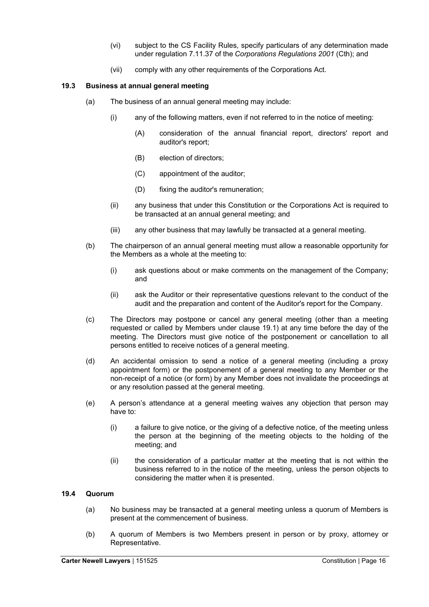- (vi) subject to the CS Facility Rules, specify particulars of any determination made under regulation 7.11.37 of the *Corporations Regulations 2001* (Cth); and
- (vii) comply with any other requirements of the Corporations Act.

#### **19.3 Business at annual general meeting**

- (a) The business of an annual general meeting may include:
	- (i) any of the following matters, even if not referred to in the notice of meeting:
		- (A) consideration of the annual financial report, directors' report and auditor's report;
		- (B) election of directors;
		- (C) appointment of the auditor;
		- (D) fixing the auditor's remuneration;
	- (ii) any business that under this Constitution or the Corporations Act is required to be transacted at an annual general meeting; and
	- (iii) any other business that may lawfully be transacted at a general meeting.
- (b) The chairperson of an annual general meeting must allow a reasonable opportunity for the Members as a whole at the meeting to:
	- (i) ask questions about or make comments on the management of the Company; and
	- (ii) ask the Auditor or their representative questions relevant to the conduct of the audit and the preparation and content of the Auditor's report for the Company.
- (c) The Directors may postpone or cancel any general meeting (other than a meeting requested or called by Members under clause 19.1) at any time before the day of the meeting. The Directors must give notice of the postponement or cancellation to all persons entitled to receive notices of a general meeting.
- (d) An accidental omission to send a notice of a general meeting (including a proxy appointment form) or the postponement of a general meeting to any Member or the non-receipt of a notice (or form) by any Member does not invalidate the proceedings at or any resolution passed at the general meeting.
- (e) A person's attendance at a general meeting waives any objection that person may have to:
	- (i) a failure to give notice, or the giving of a defective notice, of the meeting unless the person at the beginning of the meeting objects to the holding of the meeting; and
	- (ii) the consideration of a particular matter at the meeting that is not within the business referred to in the notice of the meeting, unless the person objects to considering the matter when it is presented.

#### **19.4 Quorum**

- (a) No business may be transacted at a general meeting unless a quorum of Members is present at the commencement of business.
- (b) A quorum of Members is two Members present in person or by proxy, attorney or Representative.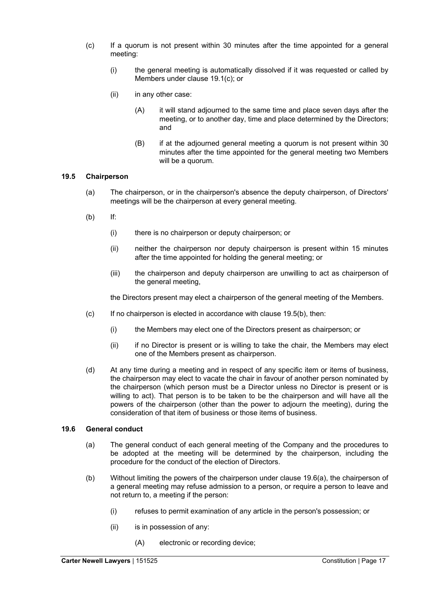- (c) If a quorum is not present within 30 minutes after the time appointed for a general meeting:
	- (i) the general meeting is automatically dissolved if it was requested or called by Members under clause 19.1(c); or
	- (ii) in any other case:
		- (A) it will stand adjourned to the same time and place seven days after the meeting, or to another day, time and place determined by the Directors; and
		- (B) if at the adjourned general meeting a quorum is not present within 30 minutes after the time appointed for the general meeting two Members will be a quorum.

#### **19.5 Chairperson**

- (a) The chairperson, or in the chairperson's absence the deputy chairperson, of Directors' meetings will be the chairperson at every general meeting.
- (b) If:
	- (i) there is no chairperson or deputy chairperson; or
	- (ii) neither the chairperson nor deputy chairperson is present within 15 minutes after the time appointed for holding the general meeting; or
	- (iii) the chairperson and deputy chairperson are unwilling to act as chairperson of the general meeting,

the Directors present may elect a chairperson of the general meeting of the Members.

- $(c)$  If no chairperson is elected in accordance with clause 19.5(b), then:
	- (i) the Members may elect one of the Directors present as chairperson; or
	- (ii) if no Director is present or is willing to take the chair, the Members may elect one of the Members present as chairperson.
- (d) At any time during a meeting and in respect of any specific item or items of business, the chairperson may elect to vacate the chair in favour of another person nominated by the chairperson (which person must be a Director unless no Director is present or is willing to act). That person is to be taken to be the chairperson and will have all the powers of the chairperson (other than the power to adjourn the meeting), during the consideration of that item of business or those items of business.

#### **19.6 General conduct**

- (a) The general conduct of each general meeting of the Company and the procedures to be adopted at the meeting will be determined by the chairperson, including the procedure for the conduct of the election of Directors.
- (b) Without limiting the powers of the chairperson under clause 19.6(a), the chairperson of a general meeting may refuse admission to a person, or require a person to leave and not return to, a meeting if the person:
	- (i) refuses to permit examination of any article in the person's possession; or
	- (ii) is in possession of any:
		- (A) electronic or recording device;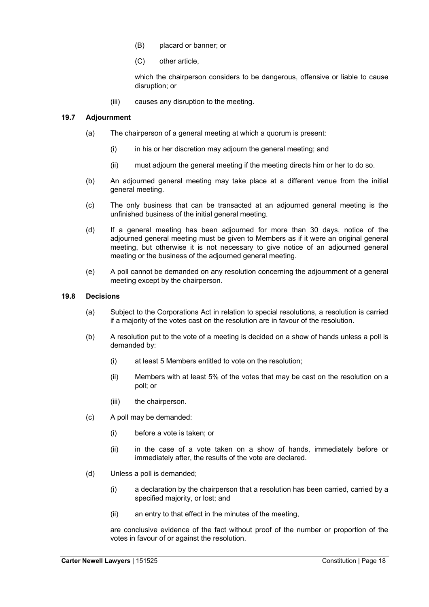- (B) placard or banner; or
- (C) other article,

which the chairperson considers to be dangerous, offensive or liable to cause disruption; or

(iii) causes any disruption to the meeting.

#### **19.7 Adjournment**

- (a) The chairperson of a general meeting at which a quorum is present:
	- (i) in his or her discretion may adjourn the general meeting; and
	- (ii) must adjourn the general meeting if the meeting directs him or her to do so.
- (b) An adjourned general meeting may take place at a different venue from the initial general meeting.
- (c) The only business that can be transacted at an adjourned general meeting is the unfinished business of the initial general meeting.
- (d) If a general meeting has been adjourned for more than 30 days, notice of the adjourned general meeting must be given to Members as if it were an original general meeting, but otherwise it is not necessary to give notice of an adjourned general meeting or the business of the adjourned general meeting.
- (e) A poll cannot be demanded on any resolution concerning the adjournment of a general meeting except by the chairperson.

#### **19.8 Decisions**

- (a) Subject to the Corporations Act in relation to special resolutions, a resolution is carried if a majority of the votes cast on the resolution are in favour of the resolution.
- (b) A resolution put to the vote of a meeting is decided on a show of hands unless a poll is demanded by:
	- (i) at least 5 Members entitled to vote on the resolution;
	- (ii) Members with at least 5% of the votes that may be cast on the resolution on a poll; or
	- (iii) the chairperson.
- (c) A poll may be demanded:
	- (i) before a vote is taken; or
	- (ii) in the case of a vote taken on a show of hands, immediately before or immediately after, the results of the vote are declared.
- (d) Unless a poll is demanded;
	- (i) a declaration by the chairperson that a resolution has been carried, carried by a specified majority, or lost; and
	- (ii) an entry to that effect in the minutes of the meeting,

are conclusive evidence of the fact without proof of the number or proportion of the votes in favour of or against the resolution.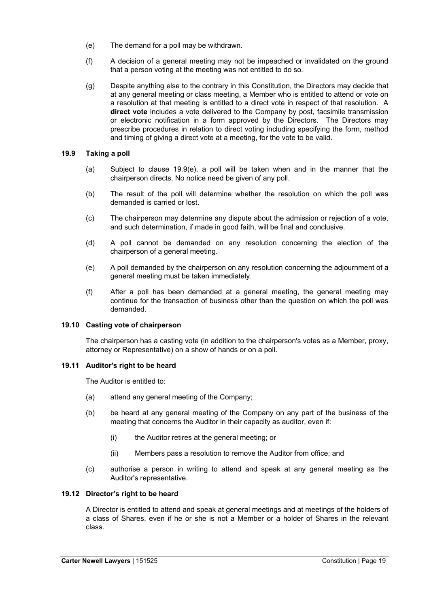- (e) The demand for a poll may be withdrawn.
- (f) A decision of a general meeting may not be impeached or invalidated on the ground that a person voting at the meeting was not entitled to do so.
- (g) Despite anything else to the contrary in this Constitution, the Directors may decide that at any general meeting or class meeting, a Member who is entitled to attend or vote on a resolution at that meeting is entitled to a direct vote in respect of that resolution. A **direct vote** includes a vote delivered to the Company by post, facsimile transmission or electronic notification in a form approved by the Directors. The Directors may prescribe procedures in relation to direct voting including specifying the form, method and timing of giving a direct vote at a meeting, for the vote to be valid.

#### **19.9 Taking a poll**

- (a) Subject to clause 19.9(e), a poll will be taken when and in the manner that the chairperson directs. No notice need be given of any poll.
- (b) The result of the poll will determine whether the resolution on which the poll was demanded is carried or lost.
- (c) The chairperson may determine any dispute about the admission or rejection of a vote, and such determination, if made in good faith, will be final and conclusive.
- (d) A poll cannot be demanded on any resolution concerning the election of the chairperson of a general meeting.
- (e) A poll demanded by the chairperson on any resolution concerning the adjournment of a general meeting must be taken immediately.
- (f) After a poll has been demanded at a general meeting, the general meeting may continue for the transaction of business other than the question on which the poll was demanded.

#### **19.10 Casting vote of chairperson**

The chairperson has a casting vote (in addition to the chairperson's votes as a Member, proxy, attorney or Representative) on a show of hands or on a poll.

#### **19.11 Auditor's right to be heard**

The Auditor is entitled to:

- (a) attend any general meeting of the Company;
- (b) be heard at any general meeting of the Company on any part of the business of the meeting that concerns the Auditor in their capacity as auditor, even if:
	- (i) the Auditor retires at the general meeting; or
	- (ii) Members pass a resolution to remove the Auditor from office; and
- (c) authorise a person in writing to attend and speak at any general meeting as the Auditor's representative.

#### **19.12 Director's right to be heard**

A Director is entitled to attend and speak at general meetings and at meetings of the holders of a class of Shares, even if he or she is not a Member or a holder of Shares in the relevant class.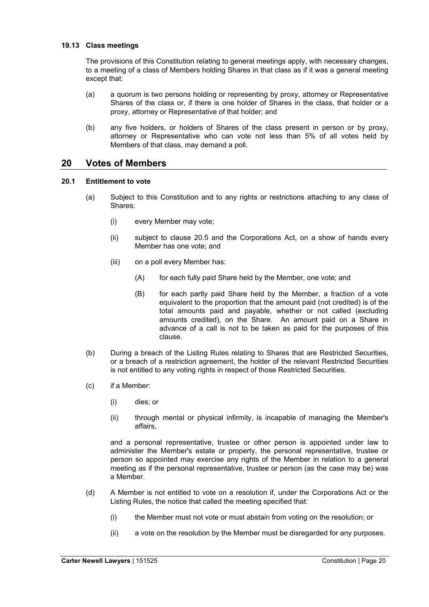#### **19.13 Class meetings**

The provisions of this Constitution relating to general meetings apply, with necessary changes, to a meeting of a class of Members holding Shares in that class as if it was a general meeting except that:

- (a) a quorum is two persons holding or representing by proxy, attorney or Representative Shares of the class or, if there is one holder of Shares in the class, that holder or a proxy, attorney or Representative of that holder; and
- (b) any five holders, or holders of Shares of the class present in person or by proxy, attorney or Representative who can vote not less than 5% of all votes held by Members of that class, may demand a poll.

## **20 Votes of Members**

#### **20.1 Entitlement to vote**

- (a) Subject to this Constitution and to any rights or restrictions attaching to any class of Shares:
	- (i) every Member may vote;
	- (ii) subject to clause 20.5 and the Corporations Act, on a show of hands every Member has one vote; and
	- (iii) on a poll every Member has:
		- (A) for each fully paid Share held by the Member, one vote; and
		- (B) for each partly paid Share held by the Member, a fraction of a vote equivalent to the proportion that the amount paid (not credited) is of the total amounts paid and payable, whether or not called (excluding amounts credited), on the Share. An amount paid on a Share in advance of a call is not to be taken as paid for the purposes of this clause.
- (b) During a breach of the Listing Rules relating to Shares that are Restricted Securities, or a breach of a restriction agreement, the holder of the relevant Restricted Securities is not entitled to any voting rights in respect of those Restricted Securities.
- (c) if a Member:
	- (i) dies; or
	- (ii) through mental or physical infirmity, is incapable of managing the Member's affairs,

and a personal representative, trustee or other person is appointed under law to administer the Member's estate or property, the personal representative, trustee or person so appointed may exercise any rights of the Member in relation to a general meeting as if the personal representative, trustee or person (as the case may be) was a Member.

- (d) A Member is not entitled to vote on a resolution if, under the Corporations Act or the Listing Rules, the notice that called the meeting specified that:
	- (i) the Member must not vote or must abstain from voting on the resolution; or
	- (ii) a vote on the resolution by the Member must be disregarded for any purposes.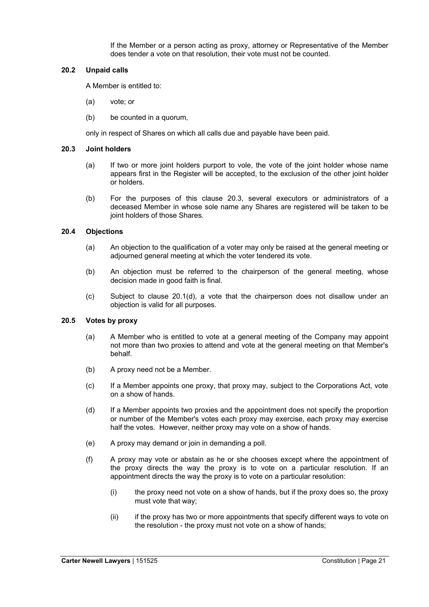If the Member or a person acting as proxy, attorney or Representative of the Member does tender a vote on that resolution, their vote must not be counted.

#### **20.2 Unpaid calls**

A Member is entitled to:

- (a) vote; or
- (b) be counted in a quorum,

only in respect of Shares on which all calls due and payable have been paid.

#### **20.3 Joint holders**

- (a) If two or more joint holders purport to vole, the vote of the joint holder whose name appears first in the Register will be accepted, to the exclusion of the other joint holder or holders.
- (b) For the purposes of this clause 20.3, several executors or administrators of a deceased Member in whose sole name any Shares are registered will be taken to be joint holders of those Shares.

#### **20.4 Objections**

- (a) An objection to the qualification of a voter may only be raised at the general meeting or adjourned general meeting at which the voter tendered its vote.
- (b) An objection must be referred to the chairperson of the general meeting, whose decision made in good faith is final.
- (c) Subject to clause 20.1(d), a vote that the chairperson does not disallow under an objection is valid for all purposes.

#### **20.5 Votes by proxy**

- (a) A Member who is entitled to vote at a general meeting of the Company may appoint not more than two proxies to attend and vote at the general meeting on that Member's behalf.
- (b) A proxy need not be a Member.
- (c) If a Member appoints one proxy, that proxy may, subject to the Corporations Act, vote on a show of hands.
- (d) If a Member appoints two proxies and the appointment does not specify the proportion or number of the Member's votes each proxy may exercise, each proxy may exercise half the votes. However, neither proxy may vote on a show of hands.
- (e) A proxy may demand or join in demanding a poll.
- (f) A proxy may vote or abstain as he or she chooses except where the appointment of the proxy directs the way the proxy is to vote on a particular resolution. If an appointment directs the way the proxy is to vote on a particular resolution:
	- (i) the proxy need not vote on a show of hands, but if the proxy does so, the proxy must vote that way;
	- (ii) if the proxy has two or more appointments that specify different ways to vote on the resolution - the proxy must not vote on a show of hands;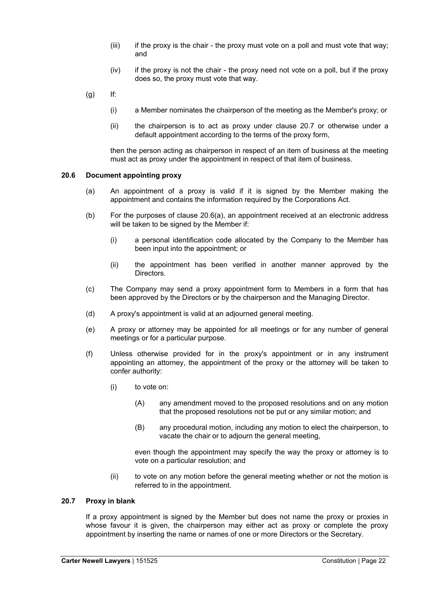- $(iii)$  if the proxy is the chair the proxy must vote on a poll and must vote that way; and
- $(iv)$  if the proxy is not the chair the proxy need not vote on a poll, but if the proxy does so, the proxy must vote that way.
- $(a)$  If:
	- (i) a Member nominates the chairperson of the meeting as the Member's proxy; or
	- (ii) the chairperson is to act as proxy under clause 20.7 or otherwise under a default appointment according to the terms of the proxy form,

then the person acting as chairperson in respect of an item of business at the meeting must act as proxy under the appointment in respect of that item of business.

#### **20.6 Document appointing proxy**

- (a) An appointment of a proxy is valid if it is signed by the Member making the appointment and contains the information required by the Corporations Act.
- (b) For the purposes of clause 20.6(a), an appointment received at an electronic address will be taken to be signed by the Member if:
	- (i) a personal identification code allocated by the Company to the Member has been input into the appointment; or
	- (ii) the appointment has been verified in another manner approved by the Directors.
- (c) The Company may send a proxy appointment form to Members in a form that has been approved by the Directors or by the chairperson and the Managing Director.
- (d) A proxy's appointment is valid at an adjourned general meeting.
- (e) A proxy or attorney may be appointed for all meetings or for any number of general meetings or for a particular purpose.
- (f) Unless otherwise provided for in the proxy's appointment or in any instrument appointing an attorney, the appointment of the proxy or the attorney will be taken to confer authority:
	- (i) to vote on:
		- (A) any amendment moved to the proposed resolutions and on any motion that the proposed resolutions not be put or any similar motion; and
		- (B) any procedural motion, including any motion to elect the chairperson, to vacate the chair or to adjourn the general meeting,

even though the appointment may specify the way the proxy or attorney is to vote on a particular resolution; and

(ii) to vote on any motion before the general meeting whether or not the motion is referred to in the appointment.

#### **20.7 Proxy in blank**

If a proxy appointment is signed by the Member but does not name the proxy or proxies in whose favour it is given, the chairperson may either act as proxy or complete the proxy appointment by inserting the name or names of one or more Directors or the Secretary.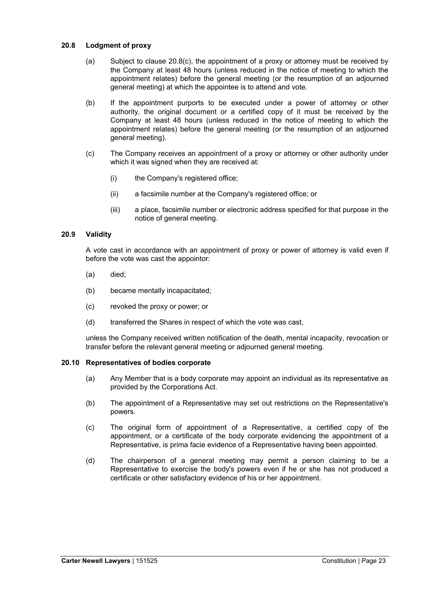#### **20.8 Lodgment of proxy**

- (a) Subject to clause  $20.8(c)$ , the appointment of a proxy or attorney must be received by the Company at least 48 hours (unless reduced in the notice of meeting to which the appointment relates) before the general meeting (or the resumption of an adjourned general meeting) at which the appointee is to attend and vote.
- (b) If the appointment purports to be executed under a power of attorney or other authority, the original document or a certified copy of it must be received by the Company at least 48 hours (unless reduced in the notice of meeting to which the appointment relates) before the general meeting (or the resumption of an adjourned general meeting).
- (c) The Company receives an appointment of a proxy or attorney or other authority under which it was signed when they are received at:
	- (i) the Company's registered office;
	- (ii) a facsimile number at the Company's registered office; or
	- (iii) a place, facsimile number or electronic address specified for that purpose in the notice of general meeting.

#### **20.9 Validity**

A vote cast in accordance with an appointment of proxy or power of attorney is valid even if before the vote was cast the appointor:

- (a) died;
- (b) became mentally incapacitated;
- (c) revoked the proxy or power; or
- (d) transferred the Shares in respect of which the vote was cast,

unless the Company received written notification of the death, mental incapacity, revocation or transfer before the relevant general meeting or adjourned general meeting.

#### **20.10 Representatives of bodies corporate**

- (a) Any Member that is a body corporate may appoint an individual as its representative as provided by the Corporations Act.
- (b) The appointment of a Representative may set out restrictions on the Representative's powers.
- (c) The original form of appointment of a Representative, a certified copy of the appointment, or a certificate of the body corporate evidencing the appointment of a Representative, is prima facie evidence of a Representative having been appointed.
- (d) The chairperson of a general meeting may permit a person claiming to be a Representative to exercise the body's powers even if he or she has not produced a certificate or other satisfactory evidence of his or her appointment.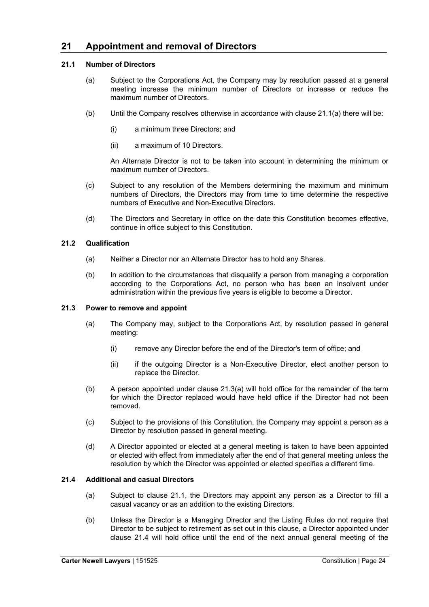## **21 Appointment and removal of Directors**

#### **21.1 Number of Directors**

- (a) Subject to the Corporations Act, the Company may by resolution passed at a general meeting increase the minimum number of Directors or increase or reduce the maximum number of Directors.
- (b) Until the Company resolves otherwise in accordance with clause 21.1(a) there will be:
	- (i) a minimum three Directors; and
	- (ii) a maximum of 10 Directors.

An Alternate Director is not to be taken into account in determining the minimum or maximum number of Directors.

- (c) Subject to any resolution of the Members determining the maximum and minimum numbers of Directors, the Directors may from time to time determine the respective numbers of Executive and Non-Executive Directors.
- (d) The Directors and Secretary in office on the date this Constitution becomes effective, continue in office subject to this Constitution.

#### **21.2 Qualification**

- (a) Neither a Director nor an Alternate Director has to hold any Shares.
- (b) In addition to the circumstances that disqualify a person from managing a corporation according to the Corporations Act, no person who has been an insolvent under administration within the previous five years is eligible to become a Director.

#### **21.3 Power to remove and appoint**

- (a) The Company may, subject to the Corporations Act, by resolution passed in general meeting:
	- (i) remove any Director before the end of the Director's term of office; and
	- (ii) if the outgoing Director is a Non-Executive Director, elect another person to replace the Director.
- (b) A person appointed under clause 21.3(a) will hold office for the remainder of the term for which the Director replaced would have held office if the Director had not been removed.
- (c) Subject to the provisions of this Constitution, the Company may appoint a person as a Director by resolution passed in general meeting.
- (d) A Director appointed or elected at a general meeting is taken to have been appointed or elected with effect from immediately after the end of that general meeting unless the resolution by which the Director was appointed or elected specifies a different time.

#### **21.4 Additional and casual Directors**

- (a) Subject to clause 21.1, the Directors may appoint any person as a Director to fill a casual vacancy or as an addition to the existing Directors.
- (b) Unless the Director is a Managing Director and the Listing Rules do not require that Director to be subject to retirement as set out in this clause, a Director appointed under clause 21.4 will hold office until the end of the next annual general meeting of the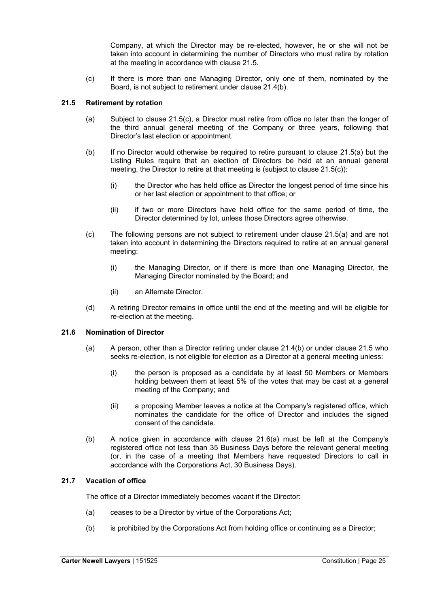Company, at which the Director may be re-elected, however, he or she will not be taken into account in determining the number of Directors who must retire by rotation at the meeting in accordance with clause 21.5.

(c) If there is more than one Managing Director, only one of them, nominated by the Board, is not subject to retirement under clause 21.4(b).

#### **21.5 Retirement by rotation**

- (a) Subject to clause 21.5(c), a Director must retire from office no later than the longer of the third annual general meeting of the Company or three years, following that Director's last election or appointment.
- (b) If no Director would otherwise be required to retire pursuant to clause 21.5(a) but the Listing Rules require that an election of Directors be held at an annual general meeting, the Director to retire at that meeting is (subject to clause 21.5(c)):
	- (i) the Director who has held office as Director the longest period of time since his or her last election or appointment to that office; or
	- (ii) if two or more Directors have held office for the same period of time, the Director determined by lot, unless those Directors agree otherwise.
- (c) The following persons are not subject to retirement under clause 21.5(a) and are not taken into account in determining the Directors required to retire at an annual general meeting:
	- (i) the Managing Director, or if there is more than one Managing Director, the Managing Director nominated by the Board; and
	- (ii) an Alternate Director.
- (d) A retiring Director remains in office until the end of the meeting and will be eligible for re-election at the meeting.

#### **21.6 Nomination of Director**

- (a) A person, other than a Director retiring under clause 21.4(b) or under clause 21.5 who seeks re-election, is not eligible for election as a Director at a general meeting unless:
	- (i) the person is proposed as a candidate by at least 50 Members or Members holding between them at least 5% of the votes that may be cast at a general meeting of the Company; and
	- (ii) a proposing Member leaves a notice at the Company's registered office, which nominates the candidate for the office of Director and includes the signed consent of the candidate.
- (b) A notice given in accordance with clause 21.6(a) must be left at the Company's registered office not less than 35 Business Days before the relevant general meeting (or, in the case of a meeting that Members have requested Directors to call in accordance with the Corporations Act, 30 Business Days).

#### **21.7 Vacation of office**

The office of a Director immediately becomes vacant if the Director:

- (a) ceases to be a Director by virtue of the Corporations Act;
- (b) is prohibited by the Corporations Act from holding office or continuing as a Director;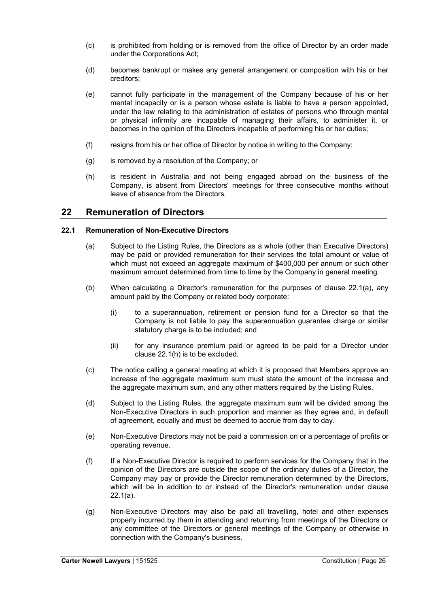- (c) is prohibited from holding or is removed from the office of Director by an order made under the Corporations Act;
- (d) becomes bankrupt or makes any general arrangement or composition with his or her creditors;
- (e) cannot fully participate in the management of the Company because of his or her mental incapacity or is a person whose estate is liable to have a person appointed, under the law relating to the administration of estates of persons who through mental or physical infirmity are incapable of managing their affairs, to administer it, or becomes in the opinion of the Directors incapable of performing his or her duties;
- (f) resigns from his or her office of Director by notice in writing to the Company;
- (g) is removed by a resolution of the Company; or
- (h) is resident in Australia and not being engaged abroad on the business of the Company, is absent from Directors' meetings for three consecutive months without leave of absence from the Directors.

## **22 Remuneration of Directors**

#### **22.1 Remuneration of Non-Executive Directors**

- (a) Subject to the Listing Rules, the Directors as a whole (other than Executive Directors) may be paid or provided remuneration for their services the total amount or value of which must not exceed an aggregate maximum of \$400,000 per annum or such other maximum amount determined from time to time by the Company in general meeting.
- (b) When calculating a Director's remuneration for the purposes of clause 22.1(a), any amount paid by the Company or related body corporate:
	- (i) to a superannuation, retirement or pension fund for a Director so that the Company is not liable to pay the superannuation guarantee charge or similar statutory charge is to be included; and
	- (ii) for any insurance premium paid or agreed to be paid for a Director under clause 22.1(h) is to be excluded.
- (c) The notice calling a general meeting at which it is proposed that Members approve an increase of the aggregate maximum sum must state the amount of the increase and the aggregate maximum sum, and any other matters required by the Listing Rules.
- (d) Subject to the Listing Rules, the aggregate maximum sum will be divided among the Non-Executive Directors in such proportion and manner as they agree and, in default of agreement, equally and must be deemed to accrue from day to day.
- (e) Non-Executive Directors may not be paid a commission on or a percentage of profits or operating revenue.
- (f) If a Non-Executive Director is required to perform services for the Company that in the opinion of the Directors are outside the scope of the ordinary duties of a Director, the Company may pay or provide the Director remuneration determined by the Directors, which will be in addition to or instead of the Director's remuneration under clause 22.1(a).
- (g) Non-Executive Directors may also be paid all travelling, hotel and other expenses properly incurred by them in attending and returning from meetings of the Directors or any committee of the Directors or general meetings of the Company or otherwise in connection with the Company's business.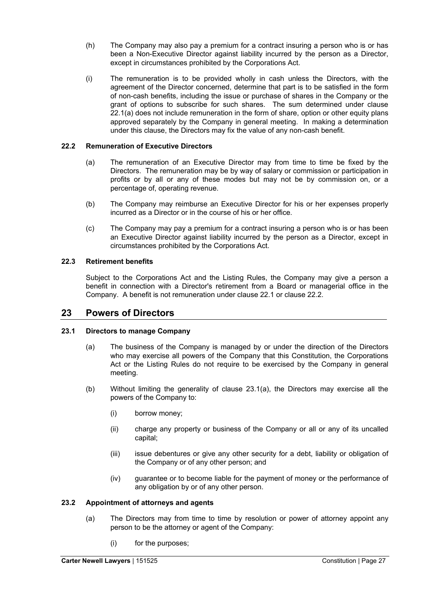- (h) The Company may also pay a premium for a contract insuring a person who is or has been a Non-Executive Director against liability incurred by the person as a Director, except in circumstances prohibited by the Corporations Act.
- (i) The remuneration is to be provided wholly in cash unless the Directors, with the agreement of the Director concerned, determine that part is to be satisfied in the form of non-cash benefits, including the issue or purchase of shares in the Company or the grant of options to subscribe for such shares. The sum determined under clause 22.1(a) does not include remuneration in the form of share, option or other equity plans approved separately by the Company in general meeting. In making a determination under this clause, the Directors may fix the value of any non-cash benefit.

## **22.2 Remuneration of Executive Directors**

- (a) The remuneration of an Executive Director may from time to time be fixed by the Directors. The remuneration may be by way of salary or commission or participation in profits or by all or any of these modes but may not be by commission on, or a percentage of, operating revenue.
- (b) The Company may reimburse an Executive Director for his or her expenses properly incurred as a Director or in the course of his or her office.
- (c) The Company may pay a premium for a contract insuring a person who is or has been an Executive Director against liability incurred by the person as a Director, except in circumstances prohibited by the Corporations Act.

#### **22.3 Retirement benefits**

Subject to the Corporations Act and the Listing Rules, the Company may give a person a benefit in connection with a Director's retirement from a Board or managerial office in the Company. A benefit is not remuneration under clause 22.1 or clause 22.2.

## **23 Powers of Directors**

#### **23.1 Directors to manage Company**

- (a) The business of the Company is managed by or under the direction of the Directors who may exercise all powers of the Company that this Constitution, the Corporations Act or the Listing Rules do not require to be exercised by the Company in general meeting.
- (b) Without limiting the generality of clause 23.1(a), the Directors may exercise all the powers of the Company to:
	- (i) borrow money;
	- (ii) charge any property or business of the Company or all or any of its uncalled capital;
	- (iii) issue debentures or give any other security for a debt, liability or obligation of the Company or of any other person; and
	- (iv) guarantee or to become liable for the payment of money or the performance of any obligation by or of any other person.

#### **23.2 Appointment of attorneys and agents**

- (a) The Directors may from time to time by resolution or power of attorney appoint any person to be the attorney or agent of the Company:
	- (i) for the purposes;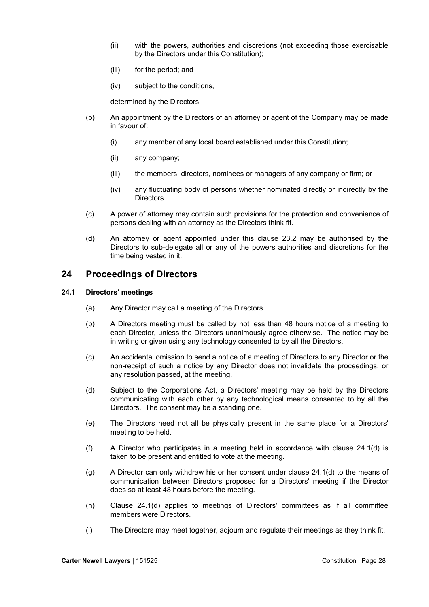- (ii) with the powers, authorities and discretions (not exceeding those exercisable by the Directors under this Constitution);
- (iii) for the period; and
- (iv) subject to the conditions,

determined by the Directors.

- (b) An appointment by the Directors of an attorney or agent of the Company may be made in favour of:
	- (i) any member of any local board established under this Constitution;
	- (ii) any company;
	- (iii) the members, directors, nominees or managers of any company or firm; or
	- (iv) any fluctuating body of persons whether nominated directly or indirectly by the Directors.
- (c) A power of attorney may contain such provisions for the protection and convenience of persons dealing with an attorney as the Directors think fit.
- (d) An attorney or agent appointed under this clause 23.2 may be authorised by the Directors to sub-delegate all or any of the powers authorities and discretions for the time being vested in it.

## **24 Proceedings of Directors**

#### **24.1 Directors' meetings**

- (a) Any Director may call a meeting of the Directors.
- (b) A Directors meeting must be called by not less than 48 hours notice of a meeting to each Director, unless the Directors unanimously agree otherwise. The notice may be in writing or given using any technology consented to by all the Directors.
- (c) An accidental omission to send a notice of a meeting of Directors to any Director or the non-receipt of such a notice by any Director does not invalidate the proceedings, or any resolution passed, at the meeting.
- (d) Subject to the Corporations Act, a Directors' meeting may be held by the Directors communicating with each other by any technological means consented to by all the Directors. The consent may be a standing one.
- (e) The Directors need not all be physically present in the same place for a Directors' meeting to be held.
- (f) A Director who participates in a meeting held in accordance with clause 24.1(d) is taken to be present and entitled to vote at the meeting.
- (g) A Director can only withdraw his or her consent under clause  $24.1(d)$  to the means of communication between Directors proposed for a Directors' meeting if the Director does so at least 48 hours before the meeting.
- (h) Clause 24.1(d) applies to meetings of Directors' committees as if all committee members were Directors.
- (i) The Directors may meet together, adjourn and regulate their meetings as they think fit.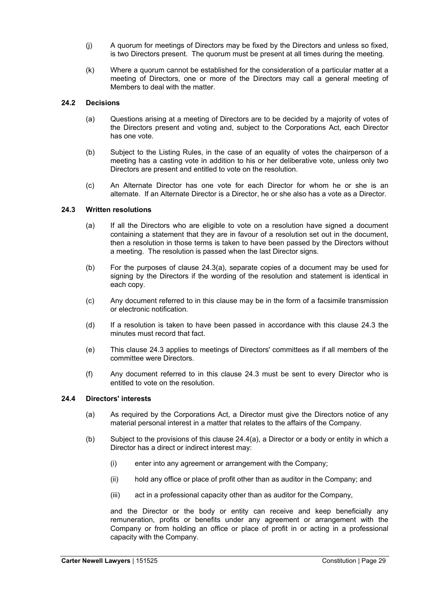- (j) A quorum for meetings of Directors may be fixed by the Directors and unless so fixed, is two Directors present. The quorum must be present at all times during the meeting.
- (k) Where a quorum cannot be established for the consideration of a particular matter at a meeting of Directors, one or more of the Directors may call a general meeting of Members to deal with the matter.

#### **24.2 Decisions**

- (a) Questions arising at a meeting of Directors are to be decided by a majority of votes of the Directors present and voting and, subject to the Corporations Act, each Director has one vote.
- (b) Subject to the Listing Rules, in the case of an equality of votes the chairperson of a meeting has a casting vote in addition to his or her deliberative vote, unless only two Directors are present and entitled to vote on the resolution.
- (c) An Alternate Director has one vote for each Director for whom he or she is an alternate. If an Alternate Director is a Director, he or she also has a vote as a Director.

#### **24.3 Written resolutions**

- (a) If all the Directors who are eligible to vote on a resolution have signed a document containing a statement that they are in favour of a resolution set out in the document, then a resolution in those terms is taken to have been passed by the Directors without a meeting. The resolution is passed when the last Director signs.
- (b) For the purposes of clause 24.3(a), separate copies of a document may be used for signing by the Directors if the wording of the resolution and statement is identical in each copy.
- (c) Any document referred to in this clause may be in the form of a facsimile transmission or electronic notification.
- (d) If a resolution is taken to have been passed in accordance with this clause 24.3 the minutes must record that fact.
- (e) This clause 24.3 applies to meetings of Directors' committees as if all members of the committee were Directors.
- (f) Any document referred to in this clause 24.3 must be sent to every Director who is entitled to vote on the resolution.

#### **24.4 Directors' interests**

- (a) As required by the Corporations Act, a Director must give the Directors notice of any material personal interest in a matter that relates to the affairs of the Company.
- (b) Subject to the provisions of this clause 24.4(a), a Director or a body or entity in which a Director has a direct or indirect interest may:
	- (i) enter into any agreement or arrangement with the Company;
	- (ii) hold any office or place of profit other than as auditor in the Company; and
	- (iii) act in a professional capacity other than as auditor for the Company,

and the Director or the body or entity can receive and keep beneficially any remuneration, profits or benefits under any agreement or arrangement with the Company or from holding an office or place of profit in or acting in a professional capacity with the Company.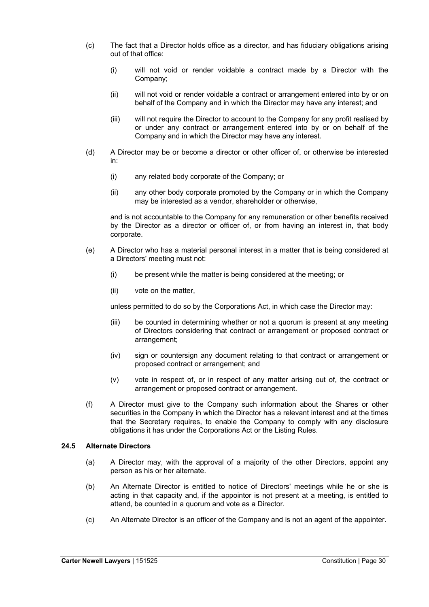- (c) The fact that a Director holds office as a director, and has fiduciary obligations arising out of that office:
	- (i) will not void or render voidable a contract made by a Director with the Company;
	- (ii) will not void or render voidable a contract or arrangement entered into by or on behalf of the Company and in which the Director may have any interest; and
	- (iii) will not require the Director to account to the Company for any profit realised by or under any contract or arrangement entered into by or on behalf of the Company and in which the Director may have any interest.
- (d) A Director may be or become a director or other officer of, or otherwise be interested in:
	- (i) any related body corporate of the Company; or
	- (ii) any other body corporate promoted by the Company or in which the Company may be interested as a vendor, shareholder or otherwise,

and is not accountable to the Company for any remuneration or other benefits received by the Director as a director or officer of, or from having an interest in, that body corporate.

- (e) A Director who has a material personal interest in a matter that is being considered at a Directors' meeting must not:
	- (i) be present while the matter is being considered at the meeting; or
	- (ii) vote on the matter,

unless permitted to do so by the Corporations Act, in which case the Director may:

- (iii) be counted in determining whether or not a quorum is present at any meeting of Directors considering that contract or arrangement or proposed contract or arrangement;
- (iv) sign or countersign any document relating to that contract or arrangement or proposed contract or arrangement; and
- (v) vote in respect of, or in respect of any matter arising out of, the contract or arrangement or proposed contract or arrangement.
- (f) A Director must give to the Company such information about the Shares or other securities in the Company in which the Director has a relevant interest and at the times that the Secretary requires, to enable the Company to comply with any disclosure obligations it has under the Corporations Act or the Listing Rules.

#### **24.5 Alternate Directors**

- (a) A Director may, with the approval of a majority of the other Directors, appoint any person as his or her alternate.
- (b) An Alternate Director is entitled to notice of Directors' meetings while he or she is acting in that capacity and, if the appointor is not present at a meeting, is entitled to attend, be counted in a quorum and vote as a Director.
- (c) An Alternate Director is an officer of the Company and is not an agent of the appointer.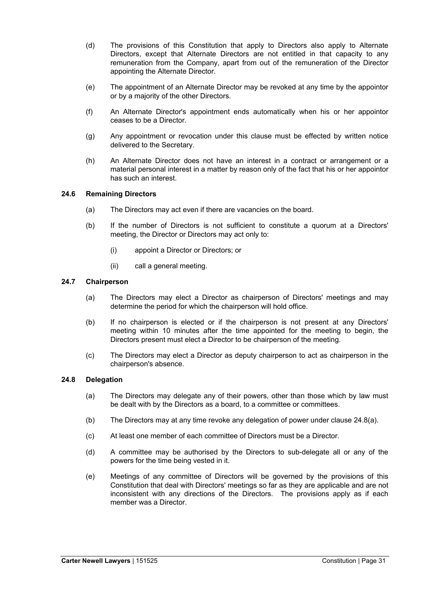- (d) The provisions of this Constitution that apply to Directors also apply to Alternate Directors, except that Alternate Directors are not entitled in that capacity to any remuneration from the Company, apart from out of the remuneration of the Director appointing the Alternate Director.
- (e) The appointment of an Alternate Director may be revoked at any time by the appointor or by a majority of the other Directors.
- (f) An Alternate Director's appointment ends automatically when his or her appointor ceases to be a Director.
- (g) Any appointment or revocation under this clause must be effected by written notice delivered to the Secretary.
- (h) An Alternate Director does not have an interest in a contract or arrangement or a material personal interest in a matter by reason only of the fact that his or her appointor has such an interest.

#### **24.6 Remaining Directors**

- (a) The Directors may act even if there are vacancies on the board.
- (b) If the number of Directors is not sufficient to constitute a quorum at a Directors' meeting, the Director or Directors may act only to:
	- (i) appoint a Director or Directors; or
	- (ii) call a general meeting.

#### **24.7 Chairperson**

- (a) The Directors may elect a Director as chairperson of Directors' meetings and may determine the period for which the chairperson will hold office.
- (b) If no chairperson is elected or if the chairperson is not present at any Directors' meeting within 10 minutes after the time appointed for the meeting to begin, the Directors present must elect a Director to be chairperson of the meeting.
- (c) The Directors may elect a Director as deputy chairperson to act as chairperson in the chairperson's absence.

#### **24.8 Delegation**

- (a) The Directors may delegate any of their powers, other than those which by law must be dealt with by the Directors as a board, to a committee or committees.
- (b) The Directors may at any time revoke any delegation of power under clause 24.8(a).
- (c) At least one member of each committee of Directors must be a Director.
- (d) A committee may be authorised by the Directors to sub-delegate all or any of the powers for the time being vested in it.
- (e) Meetings of any committee of Directors will be governed by the provisions of this Constitution that deal with Directors' meetings so far as they are applicable and are not inconsistent with any directions of the Directors. The provisions apply as if each member was a Director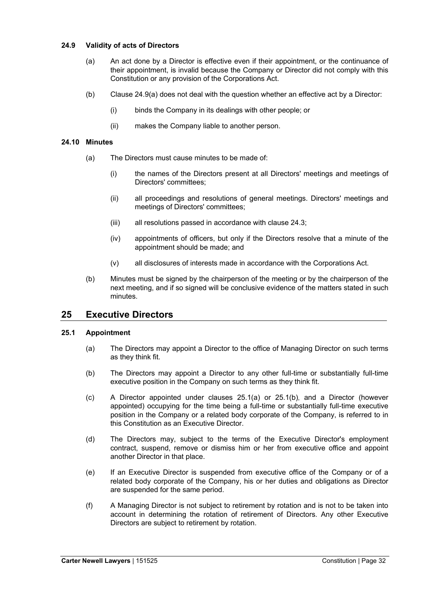#### **24.9 Validity of acts of Directors**

- (a) An act done by a Director is effective even if their appointment, or the continuance of their appointment, is invalid because the Company or Director did not comply with this Constitution or any provision of the Corporations Act.
- (b) Clause 24.9(a) does not deal with the question whether an effective act by a Director:
	- (i) binds the Company in its dealings with other people; or
	- (ii) makes the Company liable to another person.

#### **24.10 Minutes**

- (a) The Directors must cause minutes to be made of:
	- (i) the names of the Directors present at all Directors' meetings and meetings of Directors' committees;
	- (ii) all proceedings and resolutions of general meetings. Directors' meetings and meetings of Directors' committees;
	- (iii) all resolutions passed in accordance with clause 24.3;
	- (iv) appointments of officers, but only if the Directors resolve that a minute of the appointment should be made; and
	- (v) all disclosures of interests made in accordance with the Corporations Act.
- (b) Minutes must be signed by the chairperson of the meeting or by the chairperson of the next meeting, and if so signed will be conclusive evidence of the matters stated in such minutes.

## **25 Executive Directors**

## **25.1 Appointment**

- (a) The Directors may appoint a Director to the office of Managing Director on such terms as they think fit.
- (b) The Directors may appoint a Director to any other full-time or substantially full-time executive position in the Company on such terms as they think fit.
- (c) A Director appointed under clauses 25.1(a) or 25.1(b), and a Director (however appointed) occupying for the time being a full-time or substantially full-time executive position in the Company or a related body corporate of the Company, is referred to in this Constitution as an Executive Director.
- (d) The Directors may, subject to the terms of the Executive Director's employment contract, suspend, remove or dismiss him or her from executive office and appoint another Director in that place.
- (e) If an Executive Director is suspended from executive office of the Company or of a related body corporate of the Company, his or her duties and obligations as Director are suspended for the same period.
- (f) A Managing Director is not subject to retirement by rotation and is not to be taken into account in determining the rotation of retirement of Directors. Any other Executive Directors are subject to retirement by rotation.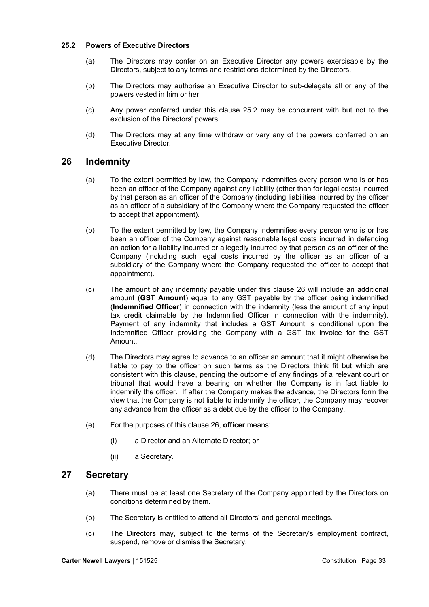#### **25.2 Powers of Executive Directors**

- (a) The Directors may confer on an Executive Director any powers exercisable by the Directors, subject to any terms and restrictions determined by the Directors.
- (b) The Directors may authorise an Executive Director to sub-delegate all or any of the powers vested in him or her.
- (c) Any power conferred under this clause 25.2 may be concurrent with but not to the exclusion of the Directors' powers.
- (d) The Directors may at any time withdraw or vary any of the powers conferred on an Executive Director.

## **26 Indemnity**

- (a) To the extent permitted by law, the Company indemnifies every person who is or has been an officer of the Company against any liability (other than for legal costs) incurred by that person as an officer of the Company (including liabilities incurred by the officer as an officer of a subsidiary of the Company where the Company requested the officer to accept that appointment).
- (b) To the extent permitted by law, the Company indemnifies every person who is or has been an officer of the Company against reasonable legal costs incurred in defending an action for a liability incurred or allegedly incurred by that person as an officer of the Company (including such legal costs incurred by the officer as an officer of a subsidiary of the Company where the Company requested the officer to accept that appointment).
- (c) The amount of any indemnity payable under this clause 26 will include an additional amount (**GST Amount**) equal to any GST payable by the officer being indemnified (**Indemnified Officer**) in connection with the indemnity (less the amount of any input tax credit claimable by the Indemnified Officer in connection with the indemnity). Payment of any indemnity that includes a GST Amount is conditional upon the Indemnified Officer providing the Company with a GST tax invoice for the GST Amount.
- (d) The Directors may agree to advance to an officer an amount that it might otherwise be liable to pay to the officer on such terms as the Directors think fit but which are consistent with this clause, pending the outcome of any findings of a relevant court or tribunal that would have a bearing on whether the Company is in fact liable to indemnify the officer. If after the Company makes the advance, the Directors form the view that the Company is not liable to indemnify the officer, the Company may recover any advance from the officer as a debt due by the officer to the Company.
- (e) For the purposes of this clause 26, **officer** means:
	- (i) a Director and an Alternate Director; or
	- (ii) a Secretary.

## **27 Secretary**

- (a) There must be at least one Secretary of the Company appointed by the Directors on conditions determined by them.
- (b) The Secretary is entitled to attend all Directors' and general meetings.
- (c) The Directors may, subject to the terms of the Secretary's employment contract, suspend, remove or dismiss the Secretary.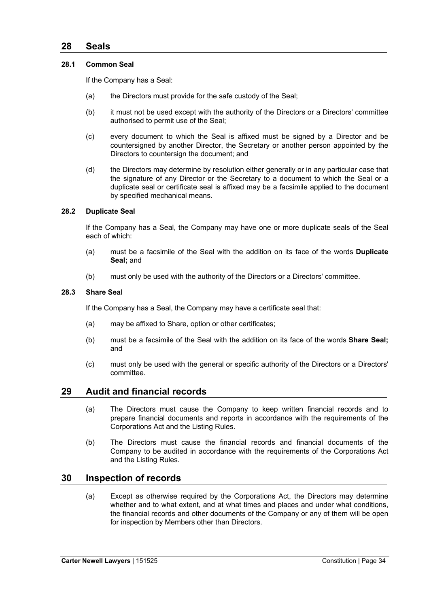## **28 Seals**

#### **28.1 Common Seal**

If the Company has a Seal:

- (a) the Directors must provide for the safe custody of the Seal;
- (b) it must not be used except with the authority of the Directors or a Directors' committee authorised to permit use of the Seal;
- (c) every document to which the Seal is affixed must be signed by a Director and be countersigned by another Director, the Secretary or another person appointed by the Directors to countersign the document; and
- (d) the Directors may determine by resolution either generally or in any particular case that the signature of any Director or the Secretary to a document to which the Seal or a duplicate seal or certificate seal is affixed may be a facsimile applied to the document by specified mechanical means.

#### **28.2 Duplicate Seal**

If the Company has a Seal, the Company may have one or more duplicate seals of the Seal each of which:

- (a) must be a facsimile of the Seal with the addition on its face of the words **Duplicate Seal;** and
- (b) must only be used with the authority of the Directors or a Directors' committee.

#### **28.3 Share Seal**

If the Company has a Seal, the Company may have a certificate seal that:

- (a) may be affixed to Share, option or other certificates;
- (b) must be a facsimile of the Seal with the addition on its face of the words **Share Seal;** and
- (c) must only be used with the general or specific authority of the Directors or a Directors' committee.

## **29 Audit and financial records**

- (a) The Directors must cause the Company to keep written financial records and to prepare financial documents and reports in accordance with the requirements of the Corporations Act and the Listing Rules.
- (b) The Directors must cause the financial records and financial documents of the Company to be audited in accordance with the requirements of the Corporations Act and the Listing Rules.

## **30 Inspection of records**

(a) Except as otherwise required by the Corporations Act, the Directors may determine whether and to what extent, and at what times and places and under what conditions, the financial records and other documents of the Company or any of them will be open for inspection by Members other than Directors.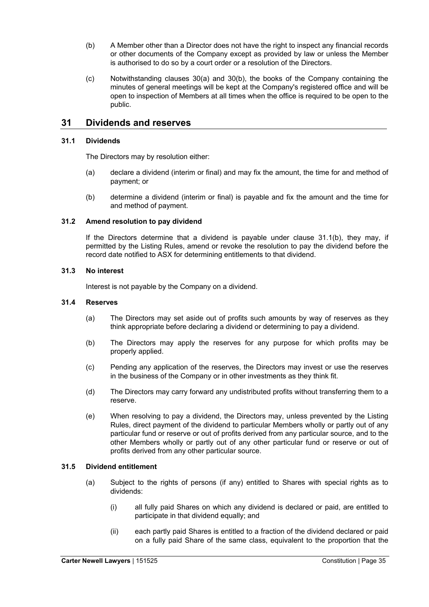- (b) A Member other than a Director does not have the right to inspect any financial records or other documents of the Company except as provided by law or unless the Member is authorised to do so by a court order or a resolution of the Directors.
- $(c)$  Notwithstanding clauses 30(a) and 30(b), the books of the Company containing the minutes of general meetings will be kept at the Company's registered office and will be open to inspection of Members at all times when the office is required to be open to the public.

## **31 Dividends and reserves**

#### **31.1 Dividends**

The Directors may by resolution either:

- (a) declare a dividend (interim or final) and may fix the amount, the time for and method of payment; or
- (b) determine a dividend (interim or final) is payable and fix the amount and the time for and method of payment.

#### **31.2 Amend resolution to pay dividend**

If the Directors determine that a dividend is payable under clause 31.1(b), they may, if permitted by the Listing Rules, amend or revoke the resolution to pay the dividend before the record date notified to ASX for determining entitlements to that dividend.

#### **31.3 No interest**

Interest is not payable by the Company on a dividend.

#### **31.4 Reserves**

- (a) The Directors may set aside out of profits such amounts by way of reserves as they think appropriate before declaring a dividend or determining to pay a dividend.
- (b) The Directors may apply the reserves for any purpose for which profits may be properly applied.
- (c) Pending any application of the reserves, the Directors may invest or use the reserves in the business of the Company or in other investments as they think fit.
- (d) The Directors may carry forward any undistributed profits without transferring them to a reserve.
- (e) When resolving to pay a dividend, the Directors may, unless prevented by the Listing Rules, direct payment of the dividend to particular Members wholly or partly out of any particular fund or reserve or out of profits derived from any particular source, and to the other Members wholly or partly out of any other particular fund or reserve or out of profits derived from any other particular source.

#### **31.5 Dividend entitlement**

- (a) Subject to the rights of persons (if any) entitled to Shares with special rights as to dividends:
	- (i) all fully paid Shares on which any dividend is declared or paid, are entitled to participate in that dividend equally; and
	- (ii) each partly paid Shares is entitled to a fraction of the dividend declared or paid on a fully paid Share of the same class, equivalent to the proportion that the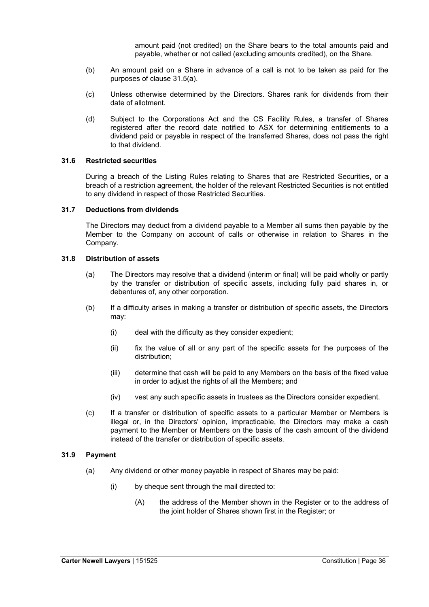amount paid (not credited) on the Share bears to the total amounts paid and payable, whether or not called (excluding amounts credited), on the Share.

- (b) An amount paid on a Share in advance of a call is not to be taken as paid for the purposes of clause 31.5(a).
- (c) Unless otherwise determined by the Directors. Shares rank for dividends from their date of allotment.
- (d) Subject to the Corporations Act and the CS Facility Rules, a transfer of Shares registered after the record date notified to ASX for determining entitlements to a dividend paid or payable in respect of the transferred Shares, does not pass the right to that dividend.

#### **31.6 Restricted securities**

During a breach of the Listing Rules relating to Shares that are Restricted Securities, or a breach of a restriction agreement, the holder of the relevant Restricted Securities is not entitled to any dividend in respect of those Restricted Securities.

#### **31.7 Deductions from dividends**

The Directors may deduct from a dividend payable to a Member all sums then payable by the Member to the Company on account of calls or otherwise in relation to Shares in the Company.

#### **31.8 Distribution of assets**

- (a) The Directors may resolve that a dividend (interim or final) will be paid wholly or partly by the transfer or distribution of specific assets, including fully paid shares in, or debentures of, any other corporation.
- (b) If a difficulty arises in making a transfer or distribution of specific assets, the Directors may:
	- (i) deal with the difficulty as they consider expedient;
	- (ii) fix the value of all or any part of the specific assets for the purposes of the distribution;
	- (iii) determine that cash will be paid to any Members on the basis of the fixed value in order to adjust the rights of all the Members; and
	- (iv) vest any such specific assets in trustees as the Directors consider expedient.
- (c) If a transfer or distribution of specific assets to a particular Member or Members is illegal or, in the Directors' opinion, impracticable, the Directors may make a cash payment to the Member or Members on the basis of the cash amount of the dividend instead of the transfer or distribution of specific assets.

#### **31.9 Payment**

- (a) Any dividend or other money payable in respect of Shares may be paid:
	- (i) by cheque sent through the mail directed to:
		- (A) the address of the Member shown in the Register or to the address of the joint holder of Shares shown first in the Register; or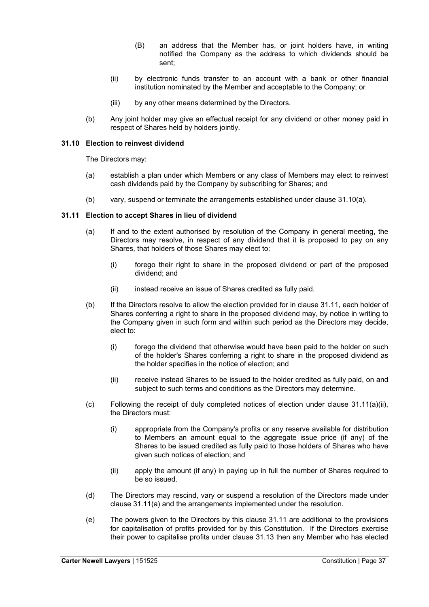- (B) an address that the Member has, or joint holders have, in writing notified the Company as the address to which dividends should be sent;
- (ii) by electronic funds transfer to an account with a bank or other financial institution nominated by the Member and acceptable to the Company; or
- (iii) by any other means determined by the Directors.
- (b) Any joint holder may give an effectual receipt for any dividend or other money paid in respect of Shares held by holders jointly.

#### **31.10 Election to reinvest dividend**

The Directors may:

- (a) establish a plan under which Members or any class of Members may elect to reinvest cash dividends paid by the Company by subscribing for Shares; and
- (b) vary, suspend or terminate the arrangements established under clause 31.10(a).

#### **31.11 Election to accept Shares in lieu of dividend**

- (a) If and to the extent authorised by resolution of the Company in general meeting, the Directors may resolve, in respect of any dividend that it is proposed to pay on any Shares, that holders of those Shares may elect to:
	- (i) forego their right to share in the proposed dividend or part of the proposed dividend; and
	- (ii) instead receive an issue of Shares credited as fully paid.
- (b) If the Directors resolve to allow the election provided for in clause 31.11, each holder of Shares conferring a right to share in the proposed dividend may, by notice in writing to the Company given in such form and within such period as the Directors may decide, elect to:
	- (i) forego the dividend that otherwise would have been paid to the holder on such of the holder's Shares conferring a right to share in the proposed dividend as the holder specifies in the notice of election; and
	- (ii) receive instead Shares to be issued to the holder credited as fully paid, on and subject to such terms and conditions as the Directors may determine.
- $(c)$  Following the receipt of duly completed notices of election under clause 31.11(a)(ii), the Directors must:
	- (i) appropriate from the Company's profits or any reserve available for distribution to Members an amount equal to the aggregate issue price (if any) of the Shares to be issued credited as fully paid to those holders of Shares who have given such notices of election; and
	- (ii) apply the amount (if any) in paying up in full the number of Shares required to be so issued.
- (d) The Directors may rescind, vary or suspend a resolution of the Directors made under clause 31.11(a) and the arrangements implemented under the resolution.
- (e) The powers given to the Directors by this clause 31.11 are additional to the provisions for capitalisation of profits provided for by this Constitution. If the Directors exercise their power to capitalise profits under clause 31.13 then any Member who has elected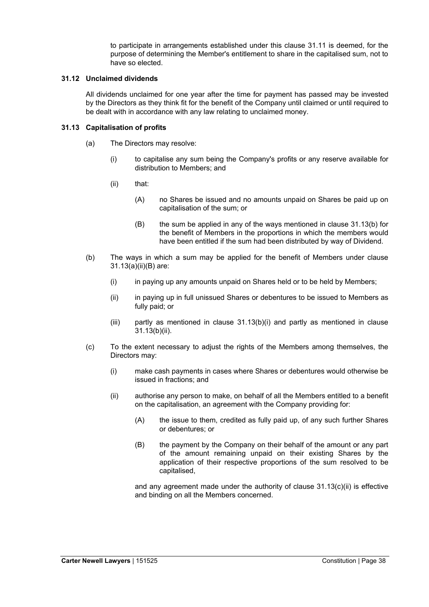to participate in arrangements established under this clause 31.11 is deemed, for the purpose of determining the Member's entitlement to share in the capitalised sum, not to have so elected.

#### **31.12 Unclaimed dividends**

All dividends unclaimed for one year after the time for payment has passed may be invested by the Directors as they think fit for the benefit of the Company until claimed or until required to be dealt with in accordance with any law relating to unclaimed money.

#### **31.13 Capitalisation of profits**

- (a) The Directors may resolve:
	- (i) to capitalise any sum being the Company's profits or any reserve available for distribution to Members; and
	- (ii) that:
		- (A) no Shares be issued and no amounts unpaid on Shares be paid up on capitalisation of the sum; or
		- (B) the sum be applied in any of the ways mentioned in clause 31.13(b) for the benefit of Members in the proportions in which the members would have been entitled if the sum had been distributed by way of Dividend.
- (b) The ways in which a sum may be applied for the benefit of Members under clause 31.13(a)(ii)(B) are:
	- (i) in paying up any amounts unpaid on Shares held or to be held by Members;
	- (ii) in paying up in full unissued Shares or debentures to be issued to Members as fully paid; or
	- (iii) partly as mentioned in clause 31.13(b)(i) and partly as mentioned in clause 31.13(b)(ii).
- (c) To the extent necessary to adjust the rights of the Members among themselves, the Directors may:
	- (i) make cash payments in cases where Shares or debentures would otherwise be issued in fractions; and
	- (ii) authorise any person to make, on behalf of all the Members entitled to a benefit on the capitalisation, an agreement with the Company providing for:
		- (A) the issue to them, credited as fully paid up, of any such further Shares or debentures; or
		- (B) the payment by the Company on their behalf of the amount or any part of the amount remaining unpaid on their existing Shares by the application of their respective proportions of the sum resolved to be capitalised,

and any agreement made under the authority of clause 31.13(c)(ii) is effective and binding on all the Members concerned.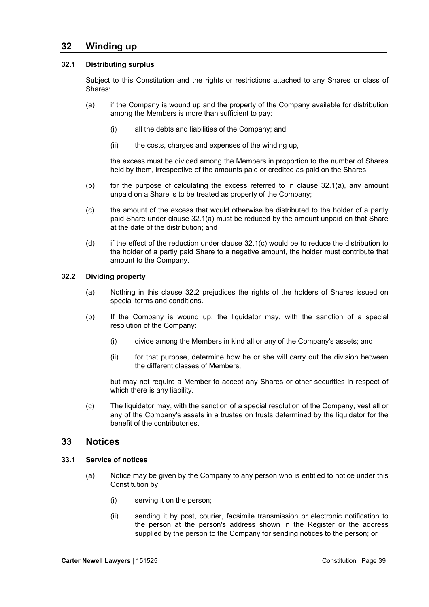## **32 Winding up**

#### **32.1 Distributing surplus**

Subject to this Constitution and the rights or restrictions attached to any Shares or class of Shares:

- (a) if the Company is wound up and the property of the Company available for distribution among the Members is more than sufficient to pay:
	- (i) all the debts and liabilities of the Company; and
	- (ii) the costs, charges and expenses of the winding up,

the excess must be divided among the Members in proportion to the number of Shares held by them, irrespective of the amounts paid or credited as paid on the Shares;

- (b) for the purpose of calculating the excess referred to in clause 32.1(a), any amount unpaid on a Share is to be treated as property of the Company;
- (c) the amount of the excess that would otherwise be distributed to the holder of a partly paid Share under clause 32.1(a) must be reduced by the amount unpaid on that Share at the date of the distribution; and
- $(d)$  if the effect of the reduction under clause  $32.1(c)$  would be to reduce the distribution to the holder of a partly paid Share to a negative amount, the holder must contribute that amount to the Company.

#### **32.2 Dividing property**

- (a) Nothing in this clause 32.2 prejudices the rights of the holders of Shares issued on special terms and conditions.
- (b) If the Company is wound up, the liquidator may, with the sanction of a special resolution of the Company:
	- (i) divide among the Members in kind all or any of the Company's assets; and
	- (ii) for that purpose, determine how he or she will carry out the division between the different classes of Members,

but may not require a Member to accept any Shares or other securities in respect of which there is any liability.

(c) The liquidator may, with the sanction of a special resolution of the Company, vest all or any of the Company's assets in a trustee on trusts determined by the liquidator for the benefit of the contributories.

## **33 Notices**

#### **33.1 Service of notices**

- (a) Notice may be given by the Company to any person who is entitled to notice under this Constitution by:
	- (i) serving it on the person;
	- (ii) sending it by post, courier, facsimile transmission or electronic notification to the person at the person's address shown in the Register or the address supplied by the person to the Company for sending notices to the person; or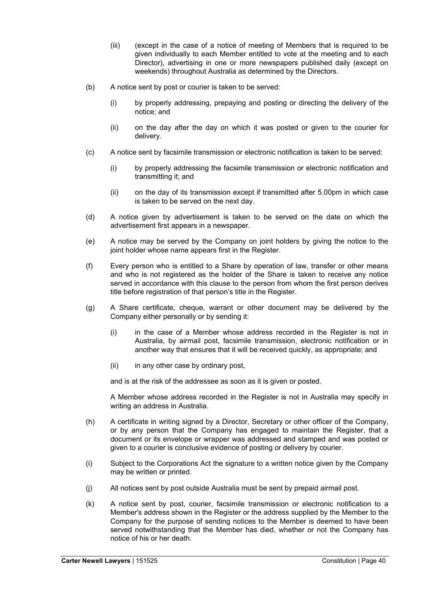- (iii) (except in the case of a notice of meeting of Members that is required to be given individually to each Member entitled to vote at the meeting and to each Director), advertising in one or more newspapers published daily (except on weekends) throughout Australia as determined by the Directors.
- (b) A notice sent by post or courier is taken to be served:
	- (i) by properly addressing, prepaying and posting or directing the delivery of the notice; and
	- (ii) on the day after the day on which it was posted or given to the courier for delivery.
- (c) A notice sent by facsimile transmission or electronic notification is taken to be served:
	- (i) by properly addressing the facsimile transmission or electronic notification and transmitting it; and
	- (ii) on the day of its transmission except if transmitted after 5.00pm in which case is taken to be served on the next day.
- (d) A notice given by advertisement is taken to be served on the date on which the advertisement first appears in a newspaper.
- (e) A notice may be served by the Company on joint holders by giving the notice to the joint holder whose name appears first in the Register.
- (f) Every person who is entitled to a Share by operation of law, transfer or other means and who is not registered as the holder of the Share is taken to receive any notice served in accordance with this clause to the person from whom the first person derives title before registration of that person's title in the Register.
- (g) A Share certificate, cheque, warrant or other document may be delivered by the Company either personally or by sending it:
	- (i) in the case of a Member whose address recorded in the Register is not in Australia, by airmail post, facsimile transmission, electronic notification or in another way that ensures that it will be received quickly, as appropriate; and
	- (ii) in any other case by ordinary post,

and is at the risk of the addressee as soon as it is given or posted.

A Member whose address recorded in the Register is not in Australia may specify in writing an address in Australia.

- (h) A certificate in writing signed by a Director, Secretary or other officer of the Company, or by any person that the Company has engaged to maintain the Register, that a document or its envelope or wrapper was addressed and stamped and was posted or given to a courier is conclusive evidence of posting or delivery by courier.
- (i) Subject to the Corporations Act the signature to a written notice given by the Company may be written or printed.
- (j) All notices sent by post outside Australia must be sent by prepaid airmail post.
- (k) A notice sent by post, courier, facsimile transmission or electronic notification to a Member's address shown in the Register or the address supplied by the Member to the Company for the purpose of sending notices to the Member is deemed to have been served notwithstanding that the Member has died, whether or not the Company has notice of his or her death.